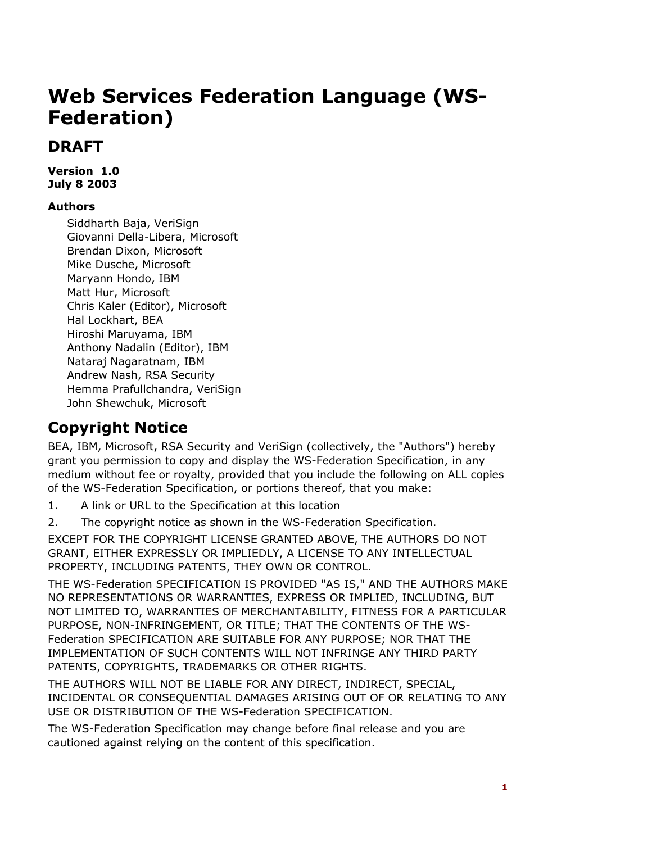# **Web Services Federation Language (WS-Federation)**

# **DRAFT**

**Version 1.0 July 8 2003** 

#### **Authors**

Siddharth Baja, VeriSign Giovanni Della-Libera, Microsoft Brendan Dixon, Microsoft Mike Dusche, Microsoft Maryann Hondo, IBM Matt Hur, Microsoft Chris Kaler (Editor), Microsoft Hal Lockhart, BEA Hiroshi Maruyama, IBM Anthony Nadalin (Editor), IBM Nataraj Nagaratnam, IBM Andrew Nash, RSA Security Hemma Prafullchandra, VeriSign John Shewchuk, Microsoft

# **Copyright Notice**

BEA, IBM, Microsoft, RSA Security and VeriSign (collectively, the "Authors") hereby grant you permission to copy and display the WS-Federation Specification, in any medium without fee or royalty, provided that you include the following on ALL copies of the WS-Federation Specification, or portions thereof, that you make:

1. A link or URL to the Specification at this location

2. The copyright notice as shown in the WS-Federation Specification.

EXCEPT FOR THE COPYRIGHT LICENSE GRANTED ABOVE, THE AUTHORS DO NOT GRANT, EITHER EXPRESSLY OR IMPLIEDLY, A LICENSE TO ANY INTELLECTUAL PROPERTY, INCLUDING PATENTS, THEY OWN OR CONTROL.

THE WS-Federation SPECIFICATION IS PROVIDED "AS IS," AND THE AUTHORS MAKE NO REPRESENTATIONS OR WARRANTIES, EXPRESS OR IMPLIED, INCLUDING, BUT NOT LIMITED TO, WARRANTIES OF MERCHANTABILITY, FITNESS FOR A PARTICULAR PURPOSE, NON-INFRINGEMENT, OR TITLE; THAT THE CONTENTS OF THE WS-Federation SPECIFICATION ARE SUITABLE FOR ANY PURPOSE; NOR THAT THE IMPLEMENTATION OF SUCH CONTENTS WILL NOT INFRINGE ANY THIRD PARTY PATENTS, COPYRIGHTS, TRADEMARKS OR OTHER RIGHTS.

THE AUTHORS WILL NOT BE LIABLE FOR ANY DIRECT, INDIRECT, SPECIAL, INCIDENTAL OR CONSEQUENTIAL DAMAGES ARISING OUT OF OR RELATING TO ANY USE OR DISTRIBUTION OF THE WS-Federation SPECIFICATION.

The WS-Federation Specification may change before final release and you are cautioned against relying on the content of this specification.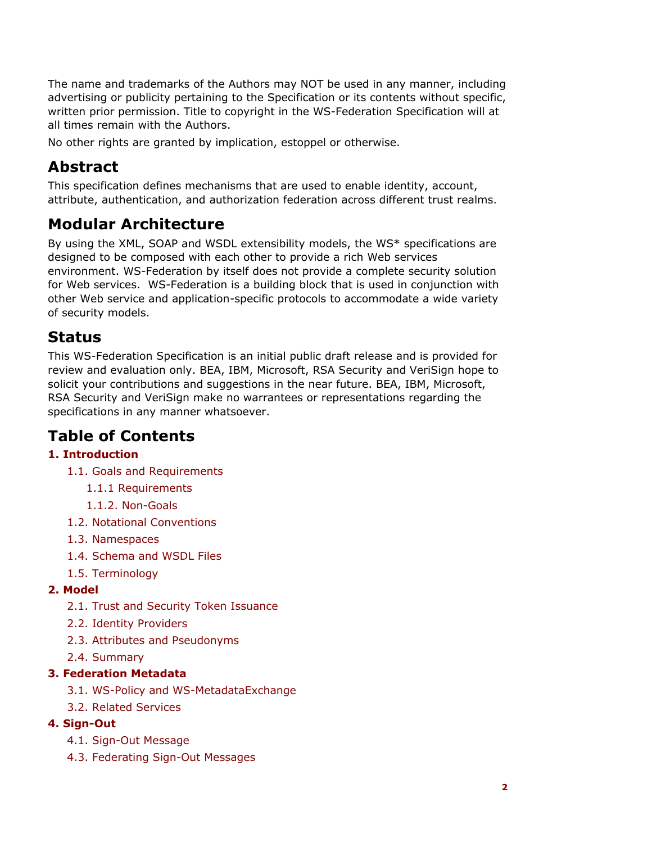The name and trademarks of the Authors may NOT be used in any manner, including advertising or publicity pertaining to the Specification or its contents without specific, written prior permission. Title to copyright in the WS-Federation Specification will at all times remain with the Authors.

No other rights are granted by implication, estoppel or otherwise.

# **Abstract**

This specification defines mechanisms that are used to enable identity, account, attribute, authentication, and authorization federation across different trust realms.

# **Modular Architecture**

By using the XML, SOAP and WSDL extensibility models, the WS\* specifications are designed to be composed with each other to provide a rich Web services environment. WS-Federation by itself does not provide a complete security solution for Web services. WS-Federation is a building block that is used in conjunction with other Web service and application-specific protocols to accommodate a wide variety of security models.

## **Status**

This WS-Federation Specification is an initial public draft release and is provided for review and evaluation only. BEA, IBM, Microsoft, RSA Security and VeriSign hope to solicit your contributions and suggestions in the near future. BEA, IBM, Microsoft, RSA Security and VeriSign make no warrantees or representations regarding the specifications in any manner whatsoever.

# **Table of Contents**

### **1. Introduction**

- 1.1. Goals and Requirements
	- 1.1.1 Requirements
	- 1.1.2. Non-Goals
- 1.2. Notational Conventions
- 1.3. Namespaces
- 1.4. Schema and WSDL Files
- 1.5. Terminology

#### **2. Model**

- 2.1. Trust and Security Token Issuance
- 2.2. Identity Providers
- 2.3. Attributes and Pseudonyms
- 2.4. Summary

#### **3. Federation Metadata**

- 3.1. WS-Policy and WS-MetadataExchange
- 3.2. Related Services

#### **4. Sign-Out**

- 4.1. Sign-Out Message
- 4.3. Federating Sign-Out Messages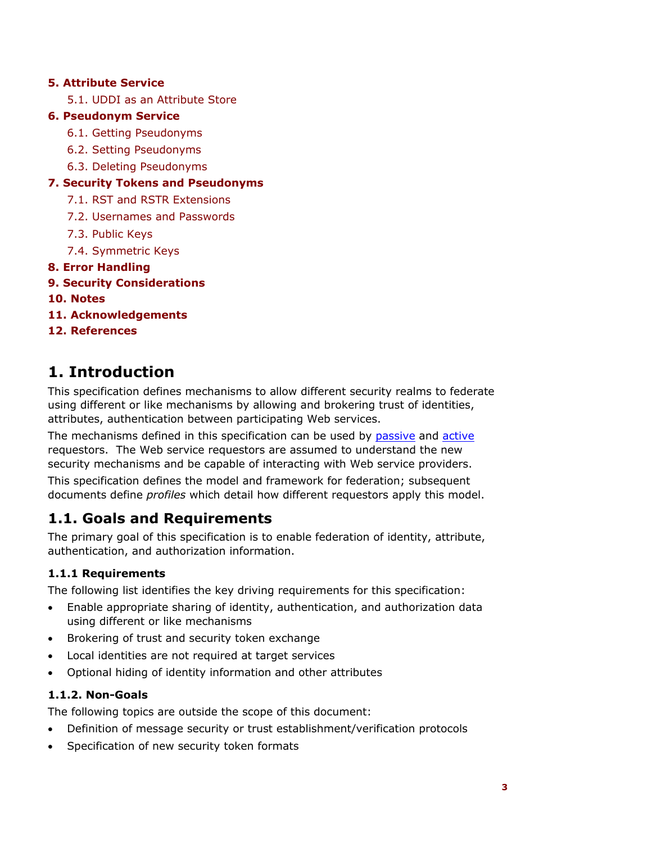#### **5. Attribute Service**

5.1. UDDI as an Attribute Store

#### **6. Pseudonym Service**

- 6.1. Getting Pseudonyms
- 6.2. Setting Pseudonyms
- 6.3. Deleting Pseudonyms

#### **7. Security Tokens and Pseudonyms**

- 7.1. RST and RSTR Extensions
- 7.2. Usernames and Passwords
- 7.3. Public Keys
- 7.4. Symmetric Keys
- **8. Error Handling**
- **9. Security Considerations**
- **10. Notes**
- **11. Acknowledgements**

#### **12. References**

### **1. Introduction**

This specification defines mechanisms to allow different security realms to federate using different or like mechanisms by allowing and brokering trust of identities, attributes, authentication between participating Web services.

The mechanisms defined in this specification can be used by passive and active requestors. The Web service requestors are assumed to understand the new security mechanisms and be capable of interacting with Web service providers.

This specification defines the model and framework for federation; subsequent documents define *profiles* which detail how different requestors apply this model.

### **1.1. Goals and Requirements**

The primary goal of this specification is to enable federation of identity, attribute, authentication, and authorization information.

#### **1.1.1 Requirements**

The following list identifies the key driving requirements for this specification:

- Enable appropriate sharing of identity, authentication, and authorization data using different or like mechanisms
- Brokering of trust and security token exchange
- Local identities are not required at target services
- Optional hiding of identity information and other attributes

#### **1.1.2. Non-Goals**

The following topics are outside the scope of this document:

- Definition of message security or trust establishment/verification protocols
- Specification of new security token formats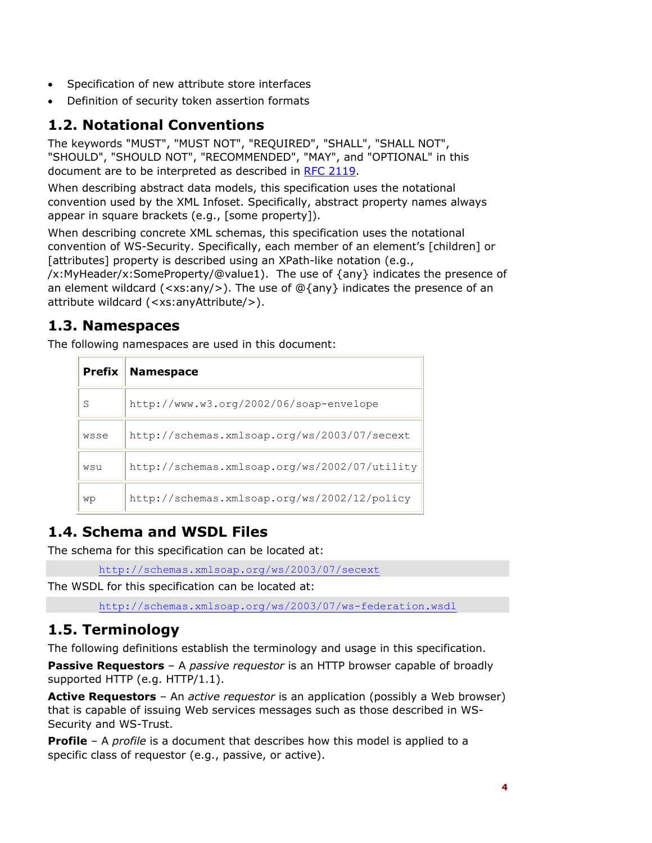- Specification of new attribute store interfaces
- Definition of security token assertion formats

### **1.2. Notational Conventions**

The keywords "MUST", "MUST NOT", "REQUIRED", "SHALL", "SHALL NOT", "SHOULD", "SHOULD NOT", "RECOMMENDED", "MAY", and "OPTIONAL" in this document are to be interpreted as described in RFC 2119.

When describing abstract data models, this specification uses the notational convention used by the XML Infoset. Specifically, abstract property names always appear in square brackets (e.g., [some property]).

When describing concrete XML schemas, this specification uses the notational convention of WS-Security. Specifically, each member of an element's [children] or [attributes] property is described using an XPath-like notation (e.g.,

/x:MyHeader/x:SomeProperty/@value1). The use of {any} indicates the presence of an element wildcard (<xs:any/>). The use of  $\mathcal{Q}\{\text{any}\}$  indicates the presence of an attribute wildcard (<xs:anyAttribute/>).

### **1.3. Namespaces**

The following namespaces are used in this document:

| <b>Prefix</b> | <b>Namespace</b>                              |
|---------------|-----------------------------------------------|
| S             | http://www.w3.org/2002/06/soap-envelope       |
| wsse          | http://schemas.xmlsoap.org/ws/2003/07/secext  |
| wsu           | http://schemas.xmlsoap.org/ws/2002/07/utility |
| wp            | http://schemas.xmlsoap.org/ws/2002/12/policy  |

### **1.4. Schema and WSDL Files**

The schema for this specification can be located at:

http://schemas.xmlsoap.org/ws/2003/07/secext

The WSDL for this specification can be located at:

http://schemas.xmlsoap.org/ws/2003/07/ws-federation.wsdl

### **1.5. Terminology**

The following definitions establish the terminology and usage in this specification.

**Passive Requestors** – A *passive requestor* is an HTTP browser capable of broadly supported HTTP (e.g. HTTP/1.1).

**Active Requestors** – An *active requestor* is an application (possibly a Web browser) that is capable of issuing Web services messages such as those described in WS-Security and WS-Trust.

**Profile** – A *profile* is a document that describes how this model is applied to a specific class of requestor (e.g., passive, or active).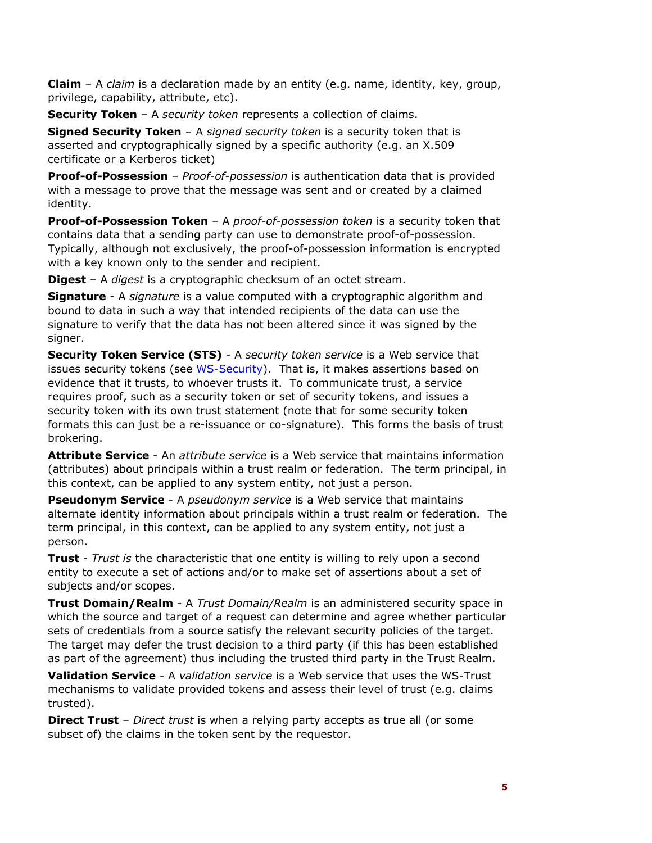**Claim** – A *claim* is a declaration made by an entity (e.g. name, identity, key, group, privilege, capability, attribute, etc).

**Security Token** – A *security token* represents a collection of claims.

**Signed Security Token** – A *signed security token* is a security token that is asserted and cryptographically signed by a specific authority (e.g. an X.509 certificate or a Kerberos ticket)

**Proof-of-Possession** – *Proof-of-possession* is authentication data that is provided with a message to prove that the message was sent and or created by a claimed identity.

**Proof-of-Possession Token** – A *proof-of-possession token* is a security token that contains data that a sending party can use to demonstrate proof-of-possession. Typically, although not exclusively, the proof-of-possession information is encrypted with a key known only to the sender and recipient.

**Digest** – A *digest* is a cryptographic checksum of an octet stream.

**Signature** - A *signature* is a value computed with a cryptographic algorithm and bound to data in such a way that intended recipients of the data can use the signature to verify that the data has not been altered since it was signed by the signer.

**Security Token Service (STS)** - A *security token service* is a Web service that issues security tokens (see WS-Security). That is, it makes assertions based on evidence that it trusts, to whoever trusts it. To communicate trust, a service requires proof, such as a security token or set of security tokens, and issues a security token with its own trust statement (note that for some security token formats this can just be a re-issuance or co-signature). This forms the basis of trust brokering.

**Attribute Service** - An *attribute service* is a Web service that maintains information (attributes) about principals within a trust realm or federation. The term principal, in this context, can be applied to any system entity, not just a person.

**Pseudonym Service** - A *pseudonym service* is a Web service that maintains alternate identity information about principals within a trust realm or federation. The term principal, in this context, can be applied to any system entity, not just a person.

**Trust** - *Trust is* the characteristic that one entity is willing to rely upon a second entity to execute a set of actions and/or to make set of assertions about a set of subjects and/or scopes.

**Trust Domain/Realm** - A *Trust Domain/Realm* is an administered security space in which the source and target of a request can determine and agree whether particular sets of credentials from a source satisfy the relevant security policies of the target. The target may defer the trust decision to a third party (if this has been established as part of the agreement) thus including the trusted third party in the Trust Realm.

**Validation Service** - A *validation service* is a Web service that uses the WS-Trust mechanisms to validate provided tokens and assess their level of trust (e.g. claims trusted).

**Direct Trust** – *Direct trust* is when a relying party accepts as true all (or some subset of) the claims in the token sent by the requestor.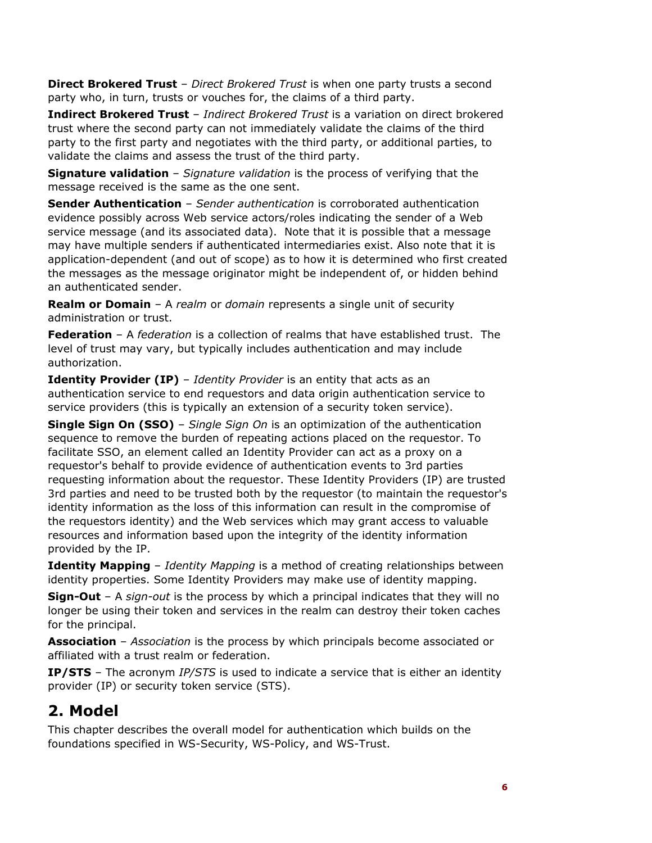**Direct Brokered Trust** – *Direct Brokered Trust* is when one party trusts a second party who, in turn, trusts or vouches for, the claims of a third party.

**Indirect Brokered Trust** – *Indirect Brokered Trust* is a variation on direct brokered trust where the second party can not immediately validate the claims of the third party to the first party and negotiates with the third party, or additional parties, to validate the claims and assess the trust of the third party.

**Signature validation** – *Signature validation* is the process of verifying that the message received is the same as the one sent.

**Sender Authentication** – *Sender authentication* is corroborated authentication evidence possibly across Web service actors/roles indicating the sender of a Web service message (and its associated data). Note that it is possible that a message may have multiple senders if authenticated intermediaries exist. Also note that it is application-dependent (and out of scope) as to how it is determined who first created the messages as the message originator might be independent of, or hidden behind an authenticated sender.

**Realm or Domain** – A *realm* or *domain* represents a single unit of security administration or trust.

**Federation** – A *federation* is a collection of realms that have established trust. The level of trust may vary, but typically includes authentication and may include authorization.

**Identity Provider (IP)** - *Identity Provider* is an entity that acts as an authentication service to end requestors and data origin authentication service to service providers (this is typically an extension of a security token service).

**Single Sign On (SSO)** – *Single Sign On* is an optimization of the authentication sequence to remove the burden of repeating actions placed on the requestor. To facilitate SSO, an element called an Identity Provider can act as a proxy on a requestor's behalf to provide evidence of authentication events to 3rd parties requesting information about the requestor. These Identity Providers (IP) are trusted 3rd parties and need to be trusted both by the requestor (to maintain the requestor's identity information as the loss of this information can result in the compromise of the requestors identity) and the Web services which may grant access to valuable resources and information based upon the integrity of the identity information provided by the IP.

**Identity Mapping** – *Identity Mapping* is a method of creating relationships between identity properties. Some Identity Providers may make use of identity mapping.

**Sign-Out** – A *sign-out* is the process by which a principal indicates that they will no longer be using their token and services in the realm can destroy their token caches for the principal.

**Association** – *Association* is the process by which principals become associated or affiliated with a trust realm or federation.

**IP/STS** – The acronym *IP/STS* is used to indicate a service that is either an identity provider (IP) or security token service (STS).

# **2. Model**

This chapter describes the overall model for authentication which builds on the foundations specified in WS-Security, WS-Policy, and WS-Trust.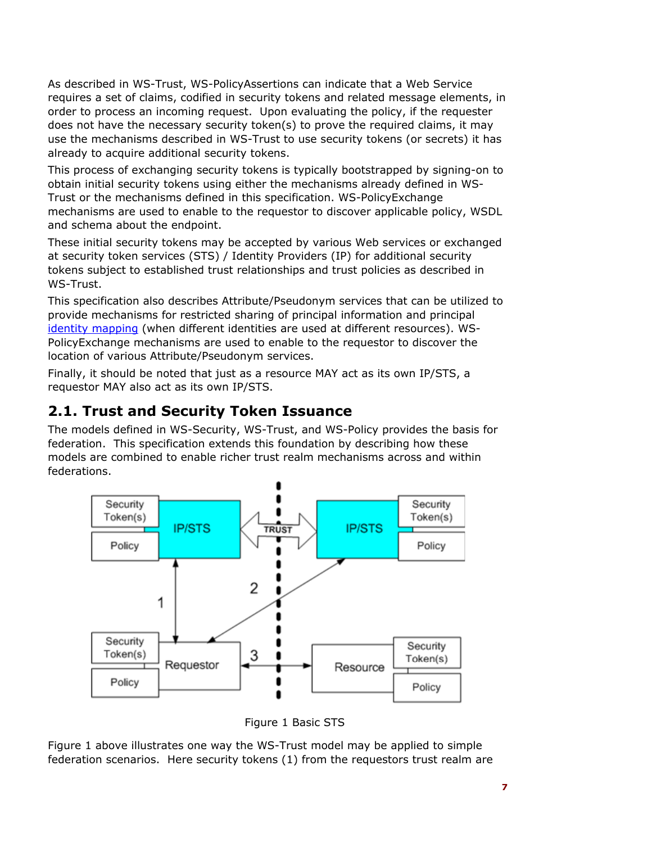As described in WS-Trust, WS-PolicyAssertions can indicate that a Web Service requires a set of claims, codified in security tokens and related message elements, in order to process an incoming request. Upon evaluating the policy, if the requester does not have the necessary security token(s) to prove the required claims, it may use the mechanisms described in WS-Trust to use security tokens (or secrets) it has already to acquire additional security tokens.

This process of exchanging security tokens is typically bootstrapped by signing-on to obtain initial security tokens using either the mechanisms already defined in WS-Trust or the mechanisms defined in this specification. WS-PolicyExchange mechanisms are used to enable to the requestor to discover applicable policy, WSDL and schema about the endpoint.

These initial security tokens may be accepted by various Web services or exchanged at security token services (STS) / Identity Providers (IP) for additional security tokens subject to established trust relationships and trust policies as described in WS-Trust.

This specification also describes Attribute/Pseudonym services that can be utilized to provide mechanisms for restricted sharing of principal information and principal identity mapping (when different identities are used at different resources). WS-PolicyExchange mechanisms are used to enable to the requestor to discover the location of various Attribute/Pseudonym services.

Finally, it should be noted that just as a resource MAY act as its own IP/STS, a requestor MAY also act as its own IP/STS.

### **2.1. Trust and Security Token Issuance**

The models defined in WS-Security, WS-Trust, and WS-Policy provides the basis for federation. This specification extends this foundation by describing how these models are combined to enable richer trust realm mechanisms across and within federations.



Figure 1 Basic STS

Figure 1 above illustrates one way the WS-Trust model may be applied to simple federation scenarios. Here security tokens (1) from the requestors trust realm are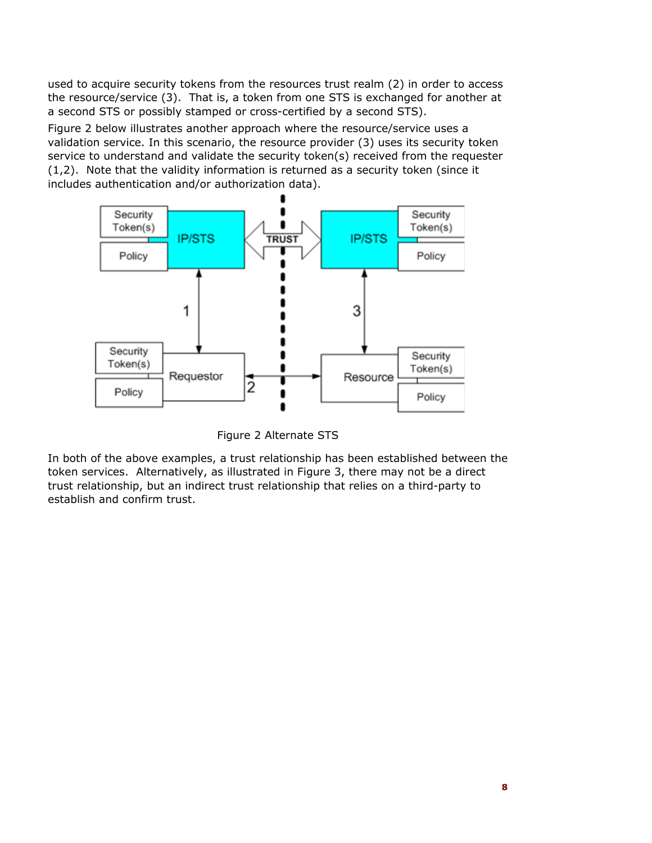used to acquire security tokens from the resources trust realm (2) in order to access the resource/service (3). That is, a token from one STS is exchanged for another at a second STS or possibly stamped or cross-certified by a second STS).

Figure 2 below illustrates another approach where the resource/service uses a validation service. In this scenario, the resource provider (3) uses its security token service to understand and validate the security token(s) received from the requester (1,2). Note that the validity information is returned as a security token (since it includes authentication and/or authorization data).



Figure 2 Alternate STS

In both of the above examples, a trust relationship has been established between the token services. Alternatively, as illustrated in Figure 3, there may not be a direct trust relationship, but an indirect trust relationship that relies on a third-party to establish and confirm trust.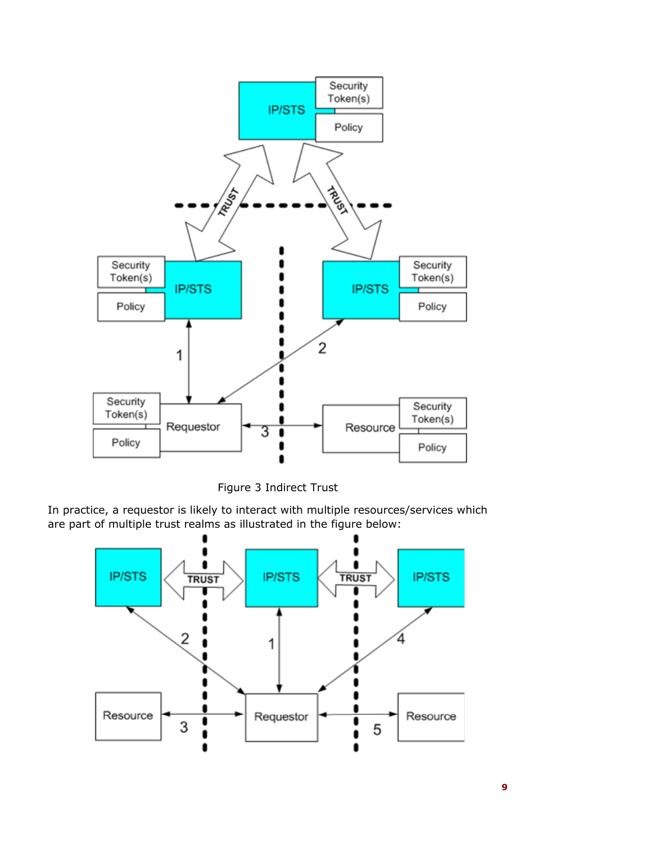

Figure 3 Indirect Trust

In practice, a requestor is likely to interact with multiple resources/services which are part of multiple trust realms as illustrated in the figure below:

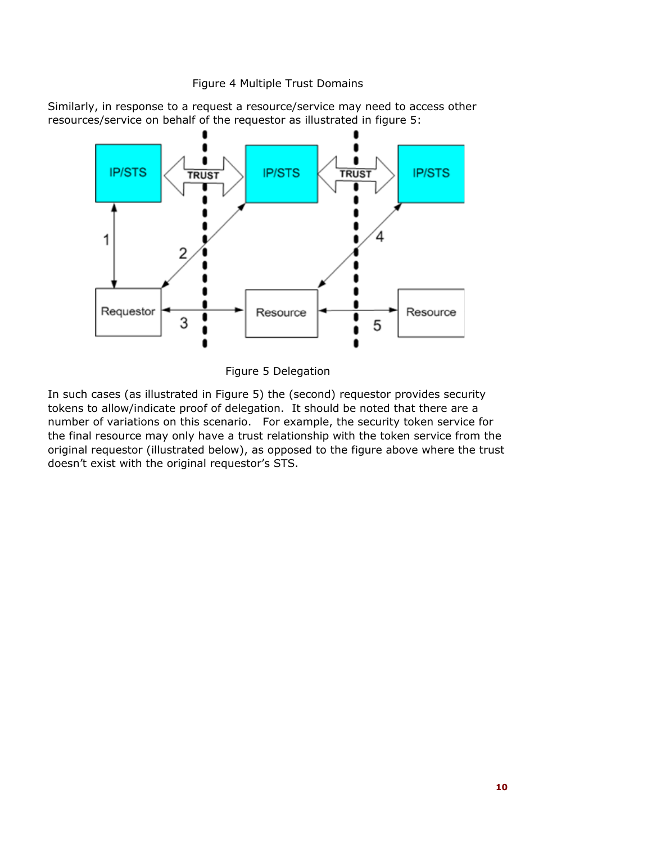#### Figure 4 Multiple Trust Domains

Similarly, in response to a request a resource/service may need to access other resources/service on behalf of the requestor as illustrated in figure 5:



Figure 5 Delegation

In such cases (as illustrated in Figure 5) the (second) requestor provides security tokens to allow/indicate proof of delegation. It should be noted that there are a number of variations on this scenario. For example, the security token service for the final resource may only have a trust relationship with the token service from the original requestor (illustrated below), as opposed to the figure above where the trust doesn't exist with the original requestor's STS.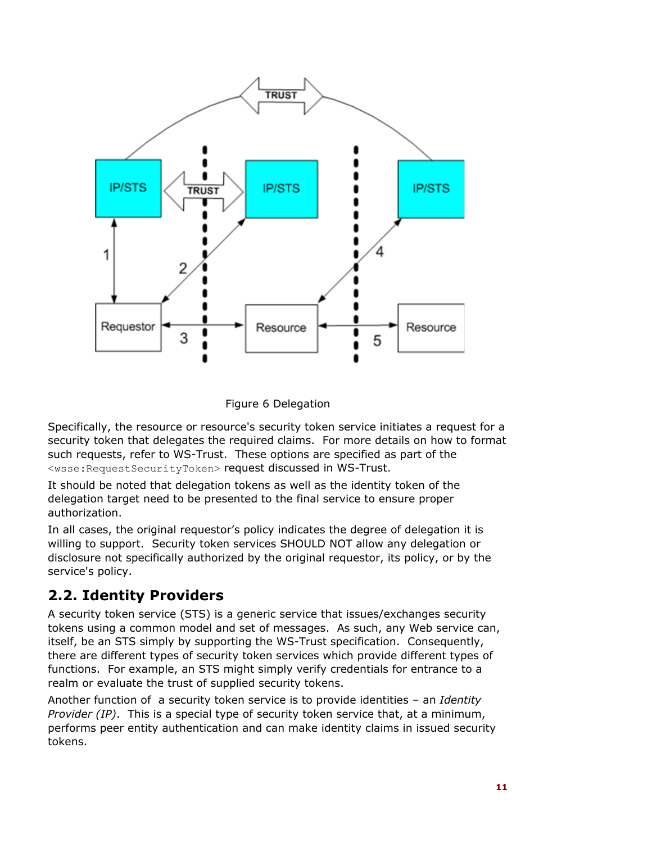

Figure 6 Delegation

Specifically, the resource or resource's security token service initiates a request for a security token that delegates the required claims. For more details on how to format such requests, refer to WS-Trust. These options are specified as part of the <wsse:RequestSecurityToken> request discussed in WS-Trust.

It should be noted that delegation tokens as well as the identity token of the delegation target need to be presented to the final service to ensure proper authorization.

In all cases, the original requestor's policy indicates the degree of delegation it is willing to support. Security token services SHOULD NOT allow any delegation or disclosure not specifically authorized by the original requestor, its policy, or by the service's policy.

### **2.2. Identity Providers**

A security token service (STS) is a generic service that issues/exchanges security tokens using a common model and set of messages. As such, any Web service can, itself, be an STS simply by supporting the WS-Trust specification. Consequently, there are different types of security token services which provide different types of functions. For example, an STS might simply verify credentials for entrance to a realm or evaluate the trust of supplied security tokens.

Another function of a security token service is to provide identities – an *Identity Provider (IP)*. This is a special type of security token service that, at a minimum, performs peer entity authentication and can make identity claims in issued security tokens.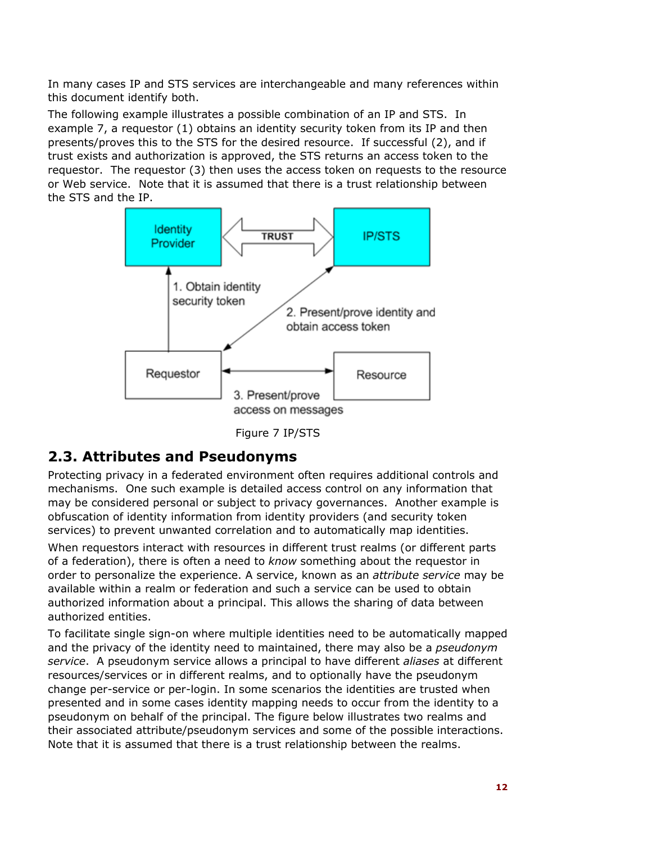In many cases IP and STS services are interchangeable and many references within this document identify both.

The following example illustrates a possible combination of an IP and STS. In example 7, a requestor (1) obtains an identity security token from its IP and then presents/proves this to the STS for the desired resource. If successful (2), and if trust exists and authorization is approved, the STS returns an access token to the requestor. The requestor (3) then uses the access token on requests to the resource or Web service. Note that it is assumed that there is a trust relationship between the STS and the IP.



Figure 7 IP/STS

### **2.3. Attributes and Pseudonyms**

Protecting privacy in a federated environment often requires additional controls and mechanisms. One such example is detailed access control on any information that may be considered personal or subject to privacy governances. Another example is obfuscation of identity information from identity providers (and security token services) to prevent unwanted correlation and to automatically map identities.

When requestors interact with resources in different trust realms (or different parts of a federation), there is often a need to *know* something about the requestor in order to personalize the experience. A service, known as an *attribute service* may be available within a realm or federation and such a service can be used to obtain authorized information about a principal. This allows the sharing of data between authorized entities.

To facilitate single sign-on where multiple identities need to be automatically mapped and the privacy of the identity need to maintained, there may also be a *pseudonym service*. A pseudonym service allows a principal to have different *aliases* at different resources/services or in different realms, and to optionally have the pseudonym change per-service or per-login. In some scenarios the identities are trusted when presented and in some cases identity mapping needs to occur from the identity to a pseudonym on behalf of the principal. The figure below illustrates two realms and their associated attribute/pseudonym services and some of the possible interactions. Note that it is assumed that there is a trust relationship between the realms.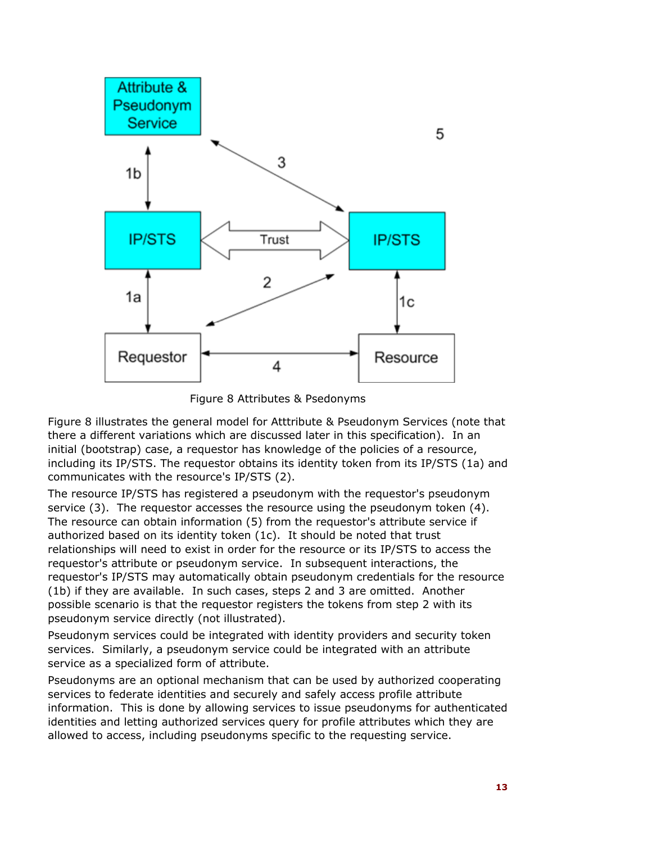

Figure 8 Attributes & Psedonyms

Figure 8 illustrates the general model for Atttribute & Pseudonym Services (note that there a different variations which are discussed later in this specification). In an initial (bootstrap) case, a requestor has knowledge of the policies of a resource, including its IP/STS. The requestor obtains its identity token from its IP/STS (1a) and communicates with the resource's IP/STS (2).

The resource IP/STS has registered a pseudonym with the requestor's pseudonym service (3). The requestor accesses the resource using the pseudonym token (4). The resource can obtain information (5) from the requestor's attribute service if authorized based on its identity token (1c). It should be noted that trust relationships will need to exist in order for the resource or its IP/STS to access the requestor's attribute or pseudonym service. In subsequent interactions, the requestor's IP/STS may automatically obtain pseudonym credentials for the resource (1b) if they are available. In such cases, steps 2 and 3 are omitted. Another possible scenario is that the requestor registers the tokens from step 2 with its pseudonym service directly (not illustrated).

Pseudonym services could be integrated with identity providers and security token services. Similarly, a pseudonym service could be integrated with an attribute service as a specialized form of attribute.

Pseudonyms are an optional mechanism that can be used by authorized cooperating services to federate identities and securely and safely access profile attribute information. This is done by allowing services to issue pseudonyms for authenticated identities and letting authorized services query for profile attributes which they are allowed to access, including pseudonyms specific to the requesting service.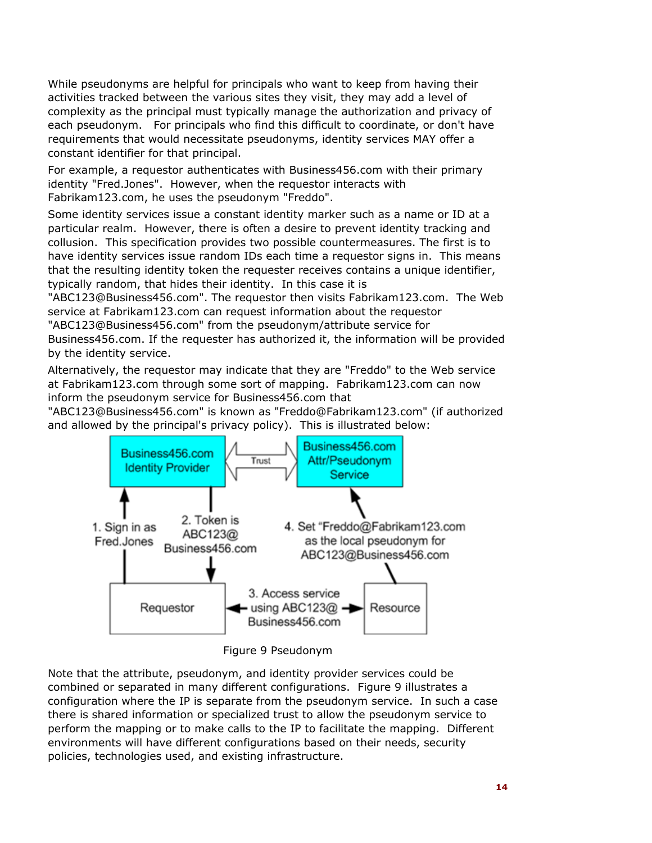While pseudonyms are helpful for principals who want to keep from having their activities tracked between the various sites they visit, they may add a level of complexity as the principal must typically manage the authorization and privacy of each pseudonym. For principals who find this difficult to coordinate, or don't have requirements that would necessitate pseudonyms, identity services MAY offer a constant identifier for that principal.

For example, a requestor authenticates with Business456.com with their primary identity "Fred.Jones". However, when the requestor interacts with Fabrikam123.com, he uses the pseudonym "Freddo".

Some identity services issue a constant identity marker such as a name or ID at a particular realm. However, there is often a desire to prevent identity tracking and collusion. This specification provides two possible countermeasures. The first is to have identity services issue random IDs each time a requestor signs in. This means that the resulting identity token the requester receives contains a unique identifier, typically random, that hides their identity. In this case it is

"ABC123@Business456.com". The requestor then visits Fabrikam123.com. The Web service at Fabrikam123.com can request information about the requestor

"ABC123@Business456.com" from the pseudonym/attribute service for

Business456.com. If the requester has authorized it, the information will be provided by the identity service.

Alternatively, the requestor may indicate that they are "Freddo" to the Web service at Fabrikam123.com through some sort of mapping. Fabrikam123.com can now inform the pseudonym service for Business456.com that

"ABC123@Business456.com" is known as "Freddo@Fabrikam123.com" (if authorized and allowed by the principal's privacy policy). This is illustrated below:



Figure 9 Pseudonym

Note that the attribute, pseudonym, and identity provider services could be combined or separated in many different configurations. Figure 9 illustrates a configuration where the IP is separate from the pseudonym service. In such a case there is shared information or specialized trust to allow the pseudonym service to perform the mapping or to make calls to the IP to facilitate the mapping. Different environments will have different configurations based on their needs, security policies, technologies used, and existing infrastructure.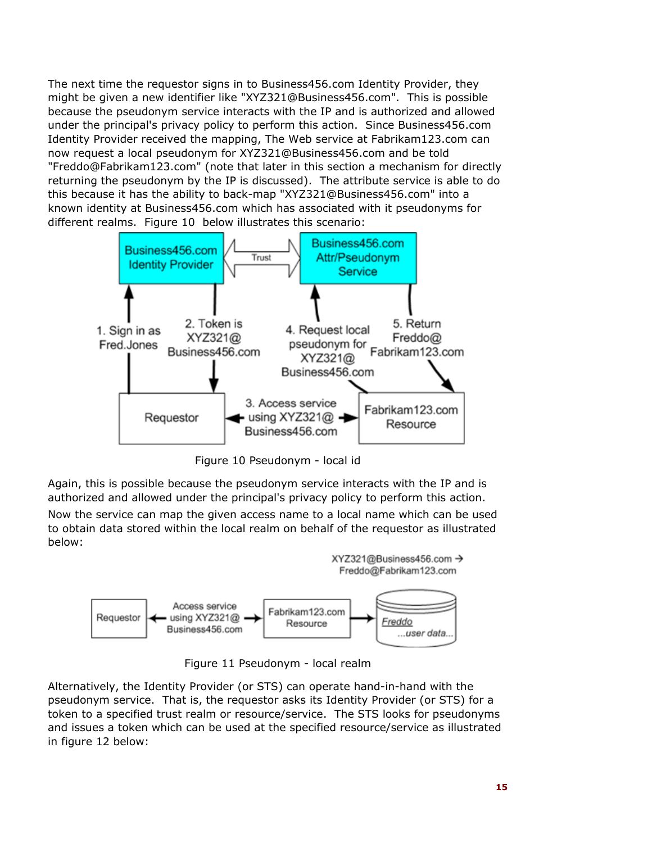The next time the requestor signs in to Business456.com Identity Provider, they might be given a new identifier like "XYZ321@Business456.com". This is possible because the pseudonym service interacts with the IP and is authorized and allowed under the principal's privacy policy to perform this action. Since Business456.com Identity Provider received the mapping, The Web service at Fabrikam123.com can now request a local pseudonym for XYZ321@Business456.com and be told "Freddo@Fabrikam123.com" (note that later in this section a mechanism for directly returning the pseudonym by the IP is discussed). The attribute service is able to do this because it has the ability to back-map "XYZ321@Business456.com" into a known identity at Business456.com which has associated with it pseudonyms for different realms. Figure 10 below illustrates this scenario:



Figure 10 Pseudonym - local id

Again, this is possible because the pseudonym service interacts with the IP and is authorized and allowed under the principal's privacy policy to perform this action.

Now the service can map the given access name to a local name which can be used to obtain data stored within the local realm on behalf of the requestor as illustrated below:



Figure 11 Pseudonym - local realm

Alternatively, the Identity Provider (or STS) can operate hand-in-hand with the pseudonym service. That is, the requestor asks its Identity Provider (or STS) for a token to a specified trust realm or resource/service. The STS looks for pseudonyms and issues a token which can be used at the specified resource/service as illustrated in figure 12 below: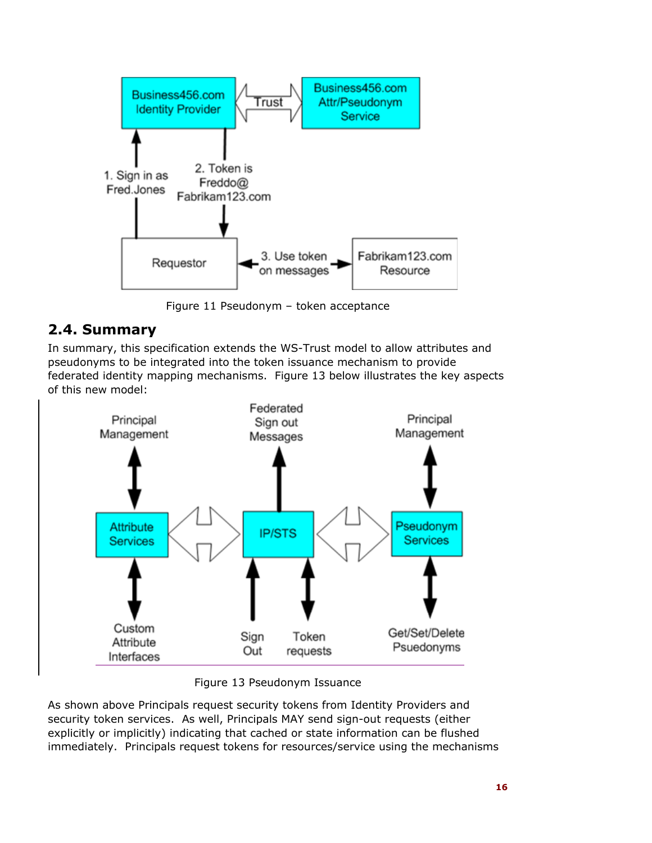

Figure 11 Pseudonym – token acceptance

### **2.4. Summary**

In summary, this specification extends the WS-Trust model to allow attributes and pseudonyms to be integrated into the token issuance mechanism to provide federated identity mapping mechanisms. Figure 13 below illustrates the key aspects of this new model:



Figure 13 Pseudonym Issuance

As shown above Principals request security tokens from Identity Providers and security token services. As well, Principals MAY send sign-out requests (either explicitly or implicitly) indicating that cached or state information can be flushed immediately. Principals request tokens for resources/service using the mechanisms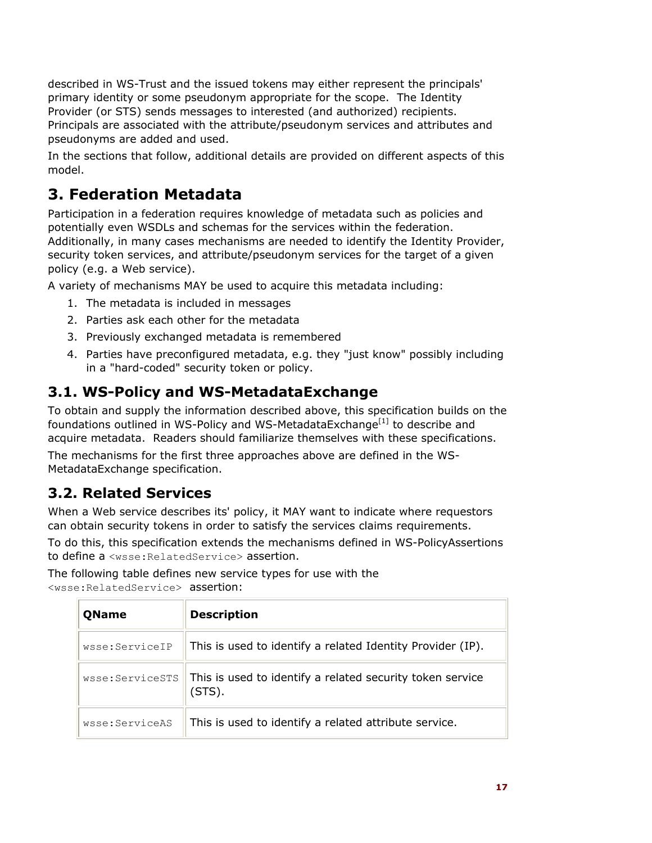described in WS-Trust and the issued tokens may either represent the principals' primary identity or some pseudonym appropriate for the scope. The Identity Provider (or STS) sends messages to interested (and authorized) recipients. Principals are associated with the attribute/pseudonym services and attributes and pseudonyms are added and used.

In the sections that follow, additional details are provided on different aspects of this model.

# **3. Federation Metadata**

Participation in a federation requires knowledge of metadata such as policies and potentially even WSDLs and schemas for the services within the federation. Additionally, in many cases mechanisms are needed to identify the Identity Provider, security token services, and attribute/pseudonym services for the target of a given policy (e.g. a Web service).

A variety of mechanisms MAY be used to acquire this metadata including:

- 1. The metadata is included in messages
- 2. Parties ask each other for the metadata
- 3. Previously exchanged metadata is remembered
- 4. Parties have preconfigured metadata, e.g. they "just know" possibly including in a "hard-coded" security token or policy.

# **3.1. WS-Policy and WS-MetadataExchange**

To obtain and supply the information described above, this specification builds on the foundations outlined in WS-Policy and WS-MetadataExchange<sup>[1]</sup> to describe and acquire metadata. Readers should familiarize themselves with these specifications.

The mechanisms for the first three approaches above are defined in the WS-MetadataExchange specification.

# **3.2. Related Services**

When a Web service describes its' policy, it MAY want to indicate where requestors can obtain security tokens in order to satisfy the services claims requirements.

To do this, this specification extends the mechanisms defined in WS-PolicyAssertions to define a <wsse:RelatedService> assertion.

The following table defines new service types for use with the <wsse:RelatedService> assertion:

| <b>QName</b>    | <b>Description</b>                                                  |
|-----------------|---------------------------------------------------------------------|
| wsse:ServiceIP  | This is used to identify a related Identity Provider (IP).          |
| wsse:ServiceSTS | This is used to identify a related security token service<br>(STS). |
| wsse:ServiceAS  | This is used to identify a related attribute service.               |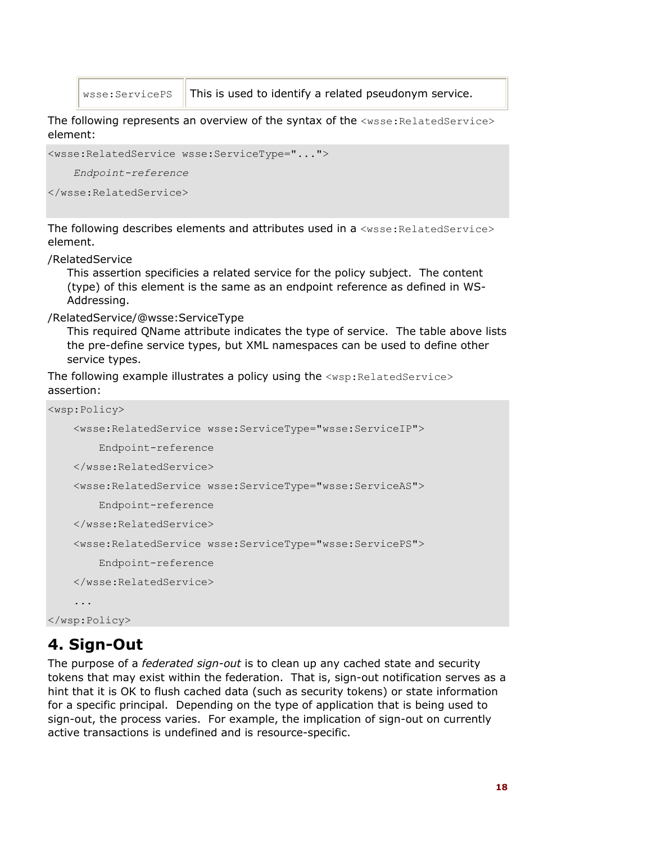$w$ sse: ServicePS  $\parallel$  This is used to identify a related pseudonym service.

The following represents an overview of the syntax of the  $\langle$ wsse:RelatedService> element:

```
<wsse:RelatedService wsse:ServiceType="..."> 
     Endpoint-reference
```

```
</wsse:RelatedService>
```
The following describes elements and attributes used in a <wsse: RelatedService> element.

#### /RelatedService

This assertion specificies a related service for the policy subject. The content (type) of this element is the same as an endpoint reference as defined in WS-Addressing.

#### /RelatedService/@wsse:ServiceType

This required QName attribute indicates the type of service. The table above lists the pre-define service types, but XML namespaces can be used to define other service types.

The following example illustrates a policy using the <wsp: RelatedService> assertion:

```
<wsp:Policy> 
     <wsse:RelatedService wsse:ServiceType="wsse:ServiceIP"> 
         Endpoint-reference 
     </wsse:RelatedService> 
     <wsse:RelatedService wsse:ServiceType="wsse:ServiceAS"> 
         Endpoint-reference 
     </wsse:RelatedService> 
     <wsse:RelatedService wsse:ServiceType="wsse:ServicePS"> 
         Endpoint-reference 
     </wsse:RelatedService> 
     ...
```
</wsp:Policy>

# **4. Sign-Out**

The purpose of a *federated sign-out* is to clean up any cached state and security tokens that may exist within the federation. That is, sign-out notification serves as a hint that it is OK to flush cached data (such as security tokens) or state information for a specific principal. Depending on the type of application that is being used to sign-out, the process varies. For example, the implication of sign-out on currently active transactions is undefined and is resource-specific.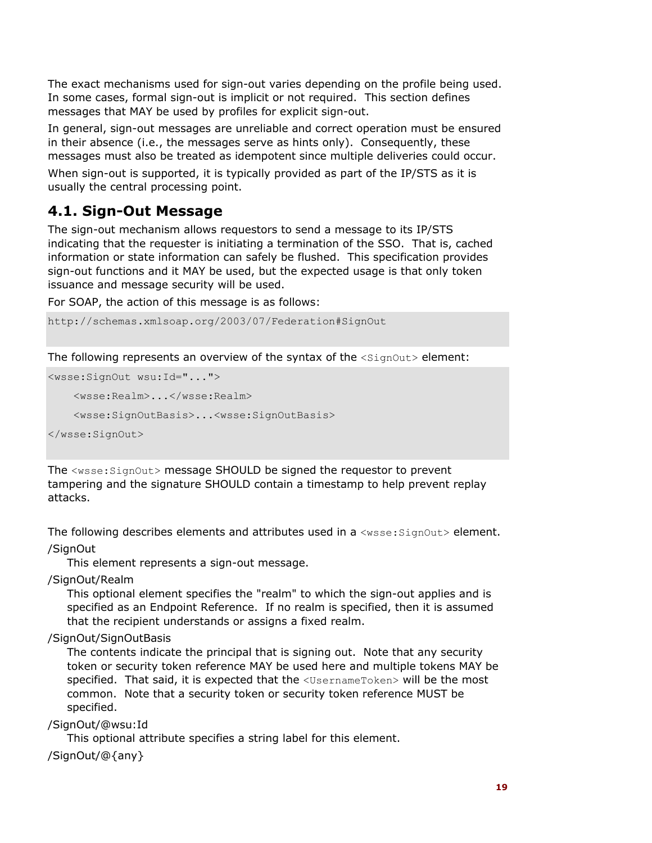The exact mechanisms used for sign-out varies depending on the profile being used. In some cases, formal sign-out is implicit or not required. This section defines messages that MAY be used by profiles for explicit sign-out.

In general, sign-out messages are unreliable and correct operation must be ensured in their absence (i.e., the messages serve as hints only). Consequently, these messages must also be treated as idempotent since multiple deliveries could occur.

When sign-out is supported, it is typically provided as part of the IP/STS as it is usually the central processing point.

### **4.1. Sign-Out Message**

The sign-out mechanism allows requestors to send a message to its IP/STS indicating that the requester is initiating a termination of the SSO. That is, cached information or state information can safely be flushed. This specification provides sign-out functions and it MAY be used, but the expected usage is that only token issuance and message security will be used.

For SOAP, the action of this message is as follows:

http://schemas.xmlsoap.org/2003/07/Federation#SignOut

The following represents an overview of the syntax of the  $\langle$ SignOut> element:

```
<wsse:SignOut wsu:Id="..."> 
     <wsse:Realm>...</wsse:Realm> 
     <wsse:SignOutBasis>...<wsse:SignOutBasis> 
</wsse:SignOut>
```
The <wsse:SignOut> message SHOULD be signed the requestor to prevent tampering and the signature SHOULD contain a timestamp to help prevent replay attacks.

The following describes elements and attributes used in a  $\langle$ wsse:SignOut> element.

/SignOut

This element represents a sign-out message.

/SignOut/Realm

This optional element specifies the "realm" to which the sign-out applies and is specified as an Endpoint Reference. If no realm is specified, then it is assumed that the recipient understands or assigns a fixed realm.

/SignOut/SignOutBasis

The contents indicate the principal that is signing out. Note that any security token or security token reference MAY be used here and multiple tokens MAY be specified. That said, it is expected that the <UsernameToken> will be the most common. Note that a security token or security token reference MUST be specified.

/SignOut/@wsu:Id

This optional attribute specifies a string label for this element.

/SignOut/@{any}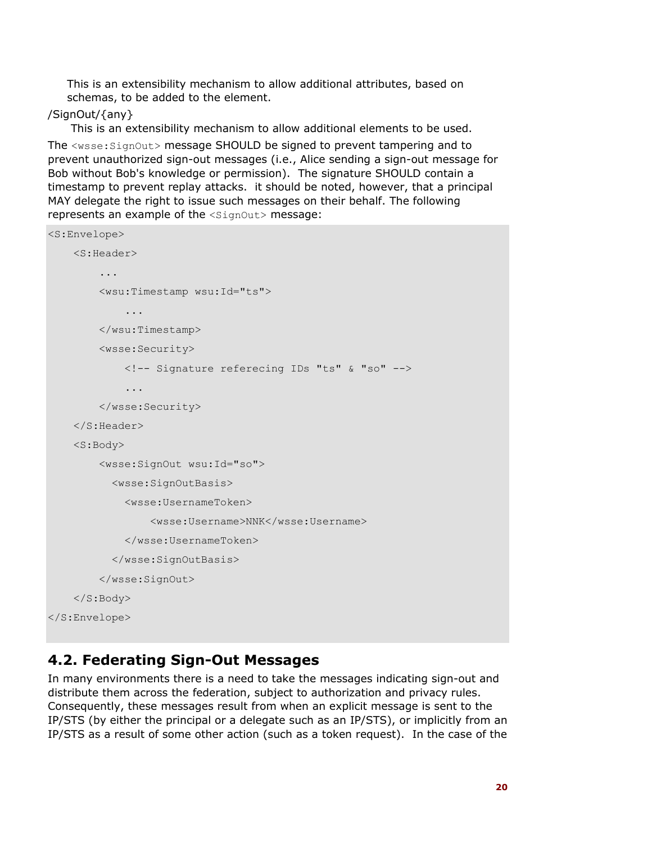This is an extensibility mechanism to allow additional attributes, based on schemas, to be added to the element.

#### /SignOut/{any}

 This is an extensibility mechanism to allow additional elements to be used. The <wsse:SignOut> message SHOULD be signed to prevent tampering and to prevent unauthorized sign-out messages (i.e., Alice sending a sign-out message for Bob without Bob's knowledge or permission). The signature SHOULD contain a timestamp to prevent replay attacks. it should be noted, however, that a principal MAY delegate the right to issue such messages on their behalf. The following represents an example of the  $\langle$ SignOut> message:

```
<S:Envelope> 
     <S:Header> 
          ... 
         <wsu:Timestamp wsu:Id="ts"> 
              ... 
         </wsu:Timestamp> 
         <wsse:Security> 
              <!-- Signature referecing IDs "ts" & "so" --> 
 ... 
         </wsse:Security> 
     </S:Header> 
     <S:Body> 
         <wsse:SignOut wsu:Id="so"> 
            <wsse:SignOutBasis> 
              <wsse:UsernameToken> 
                  <wsse:Username>NNK</wsse:Username> 
              </wsse:UsernameToken> 
            </wsse:SignOutBasis> 
         </wsse:SignOut> 
     </S:Body> 
</S:Envelope>
```
### **4.2. Federating Sign-Out Messages**

In many environments there is a need to take the messages indicating sign-out and distribute them across the federation, subject to authorization and privacy rules. Consequently, these messages result from when an explicit message is sent to the IP/STS (by either the principal or a delegate such as an IP/STS), or implicitly from an IP/STS as a result of some other action (such as a token request). In the case of the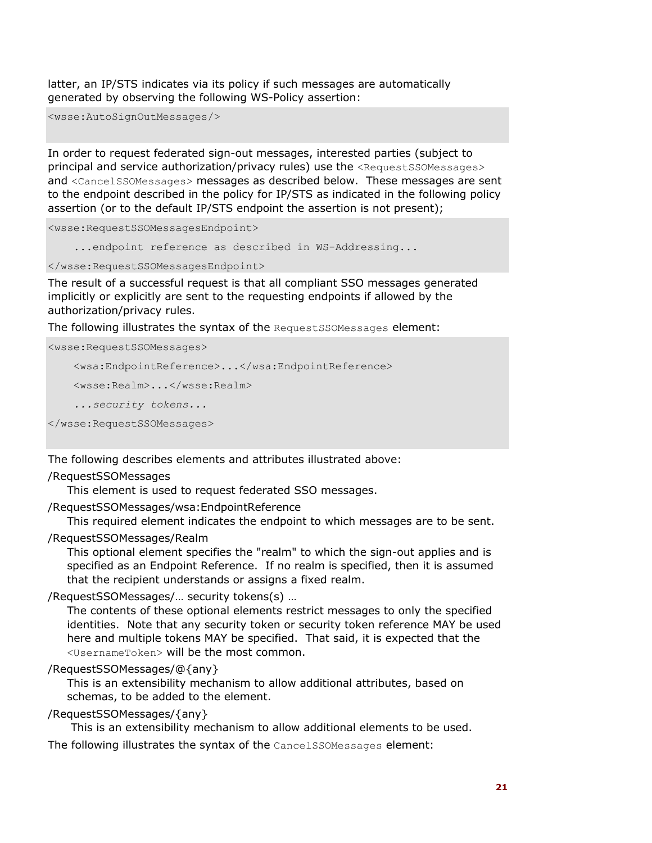latter, an IP/STS indicates via its policy if such messages are automatically generated by observing the following WS-Policy assertion:

<wsse:AutoSignOutMessages/>

In order to request federated sign-out messages, interested parties (subject to principal and service authorization/privacy rules) use the <RequestSSOMessages> and <CancelSSOMessages> messages as described below. These messages are sent to the endpoint described in the policy for IP/STS as indicated in the following policy assertion (or to the default IP/STS endpoint the assertion is not present);

<wsse:RequestSSOMessagesEndpoint>

...endpoint reference as described in WS-Addressing...

</wsse:RequestSSOMessagesEndpoint>

The result of a successful request is that all compliant SSO messages generated implicitly or explicitly are sent to the requesting endpoints if allowed by the authorization/privacy rules.

The following illustrates the syntax of the RequestSSOMessages element:

```
<wsse:RequestSSOMessages> 
     <wsa:EndpointReference>...</wsa:EndpointReference> 
     <wsse:Realm>...</wsse:Realm> 
     ...security tokens... 
</wsse:RequestSSOMessages>
```
The following describes elements and attributes illustrated above:

#### /RequestSSOMessages

This element is used to request federated SSO messages.

/RequestSSOMessages/wsa:EndpointReference

This required element indicates the endpoint to which messages are to be sent.

#### /RequestSSOMessages/Realm

This optional element specifies the "realm" to which the sign-out applies and is specified as an Endpoint Reference. If no realm is specified, then it is assumed that the recipient understands or assigns a fixed realm.

#### /RequestSSOMessages/… security tokens(s) …

The contents of these optional elements restrict messages to only the specified identities. Note that any security token or security token reference MAY be used here and multiple tokens MAY be specified. That said, it is expected that the <UsernameToken> will be the most common.

#### /RequestSSOMessages/@{any}

This is an extensibility mechanism to allow additional attributes, based on schemas, to be added to the element.

#### /RequestSSOMessages/{any}

This is an extensibility mechanism to allow additional elements to be used.

The following illustrates the syntax of the CancelSSOMessages element: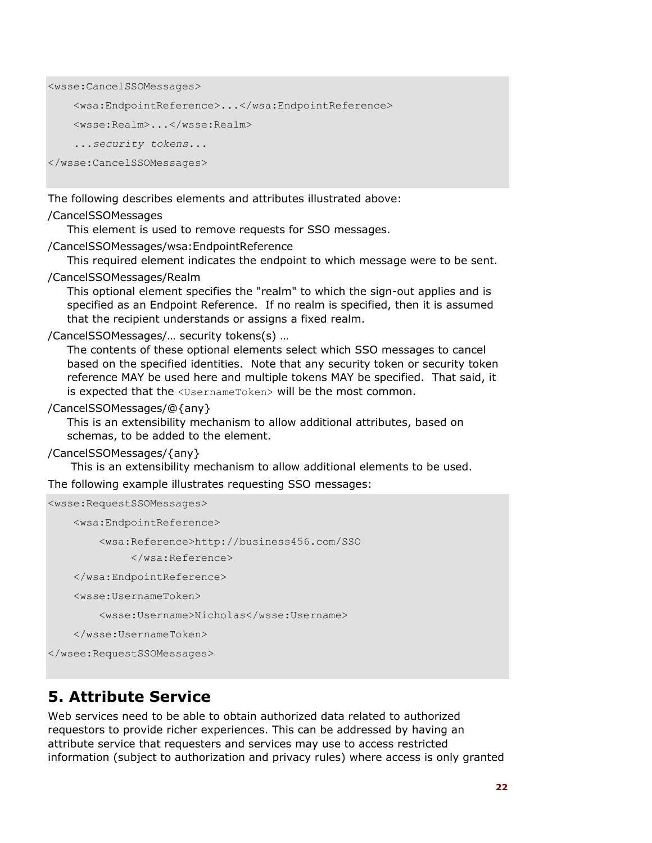```
<wsse:CancelSSOMessages>
```

```
 <wsa:EndpointReference>...</wsa:EndpointReference>
```

```
 <wsse:Realm>...</wsse:Realm>
```
*...security tokens...* 

</wsse:CancelSSOMessages>

The following describes elements and attributes illustrated above:

#### /CancelSSOMessages

This element is used to remove requests for SSO messages.

#### /CancelSSOMessages/wsa:EndpointReference

This required element indicates the endpoint to which message were to be sent.

#### /CancelSSOMessages/Realm

This optional element specifies the "realm" to which the sign-out applies and is specified as an Endpoint Reference. If no realm is specified, then it is assumed that the recipient understands or assigns a fixed realm.

#### /CancelSSOMessages/… security tokens(s) …

The contents of these optional elements select which SSO messages to cancel based on the specified identities. Note that any security token or security token reference MAY be used here and multiple tokens MAY be specified. That said, it is expected that the <UsernameToken> will be the most common.

#### /CancelSSOMessages/@{any}

This is an extensibility mechanism to allow additional attributes, based on schemas, to be added to the element.

#### /CancelSSOMessages/{any}

This is an extensibility mechanism to allow additional elements to be used.

The following example illustrates requesting SSO messages:

```
<wsse:RequestSSOMessages>
```

```
 <wsa:EndpointReference>
```
<wsa:Reference>http://business456.com/SSO

</wsa:Reference>

</wsa:EndpointReference>

<wsse:UsernameToken>

<wsse:Username>Nicholas</wsse:Username>

</wsse:UsernameToken>

</wsee:RequestSSOMessages>

# **5. Attribute Service**

Web services need to be able to obtain authorized data related to authorized requestors to provide richer experiences. This can be addressed by having an attribute service that requesters and services may use to access restricted information (subject to authorization and privacy rules) where access is only granted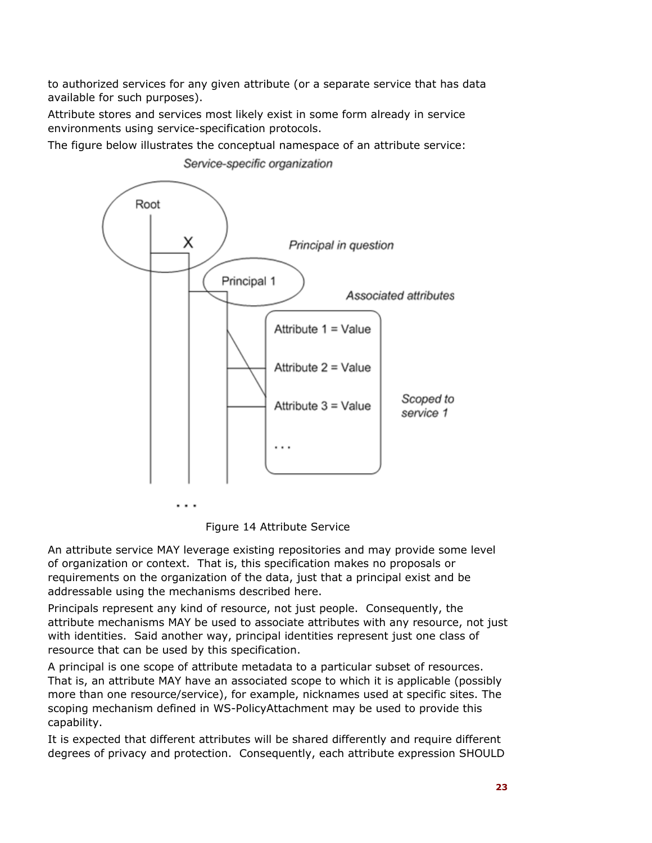to authorized services for any given attribute (or a separate service that has data available for such purposes).

Attribute stores and services most likely exist in some form already in service environments using service-specification protocols.

The figure below illustrates the conceptual namespace of an attribute service:



Service-specific organization

Figure 14 Attribute Service

An attribute service MAY leverage existing repositories and may provide some level of organization or context. That is, this specification makes no proposals or requirements on the organization of the data, just that a principal exist and be addressable using the mechanisms described here.

Principals represent any kind of resource, not just people. Consequently, the attribute mechanisms MAY be used to associate attributes with any resource, not just with identities. Said another way, principal identities represent just one class of resource that can be used by this specification.

A principal is one scope of attribute metadata to a particular subset of resources. That is, an attribute MAY have an associated scope to which it is applicable (possibly more than one resource/service), for example, nicknames used at specific sites. The scoping mechanism defined in WS-PolicyAttachment may be used to provide this capability.

It is expected that different attributes will be shared differently and require different degrees of privacy and protection. Consequently, each attribute expression SHOULD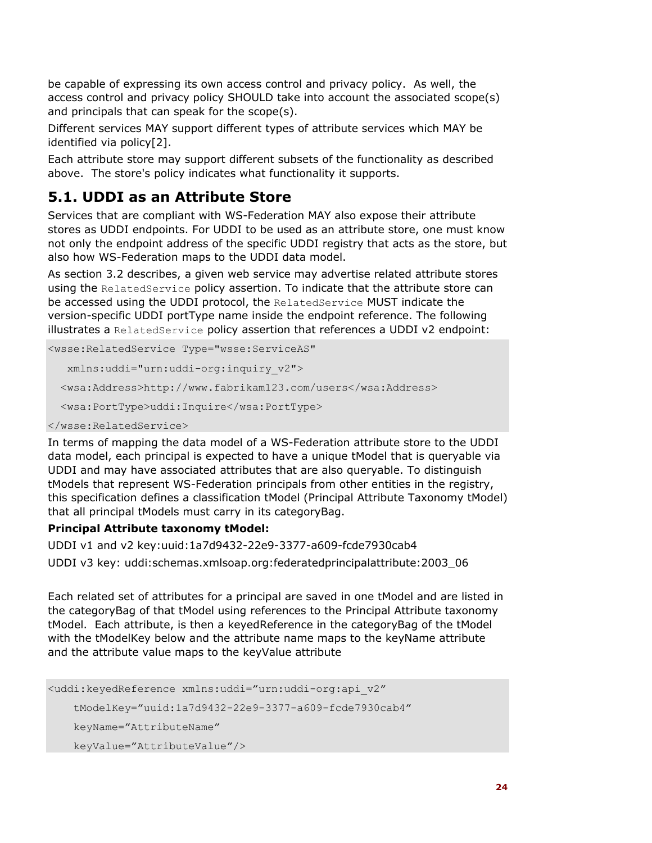be capable of expressing its own access control and privacy policy. As well, the access control and privacy policy SHOULD take into account the associated scope(s) and principals that can speak for the scope(s).

Different services MAY support different types of attribute services which MAY be identified via policy[2].

Each attribute store may support different subsets of the functionality as described above. The store's policy indicates what functionality it supports.

### **5.1. UDDI as an Attribute Store**

Services that are compliant with WS-Federation MAY also expose their attribute stores as UDDI endpoints. For UDDI to be used as an attribute store, one must know not only the endpoint address of the specific UDDI registry that acts as the store, but also how WS-Federation maps to the UDDI data model.

As section 3.2 describes, a given web service may advertise related attribute stores using the RelatedService policy assertion. To indicate that the attribute store can be accessed using the UDDI protocol, the RelatedService MUST indicate the version-specific UDDI portType name inside the endpoint reference. The following illustrates a RelatedService policy assertion that references a UDDI v2 endpoint:

```
<wsse:RelatedService Type="wsse:ServiceAS" 
    xmlns:uddi="urn:uddi-org:inquiry_v2"> 
   <wsa:Address>http://www.fabrikam123.com/users</wsa:Address> 
   <wsa:PortType>uddi:Inquire</wsa:PortType>
```
#### </wsse:RelatedService>

In terms of mapping the data model of a WS-Federation attribute store to the UDDI data model, each principal is expected to have a unique tModel that is queryable via UDDI and may have associated attributes that are also queryable. To distinguish tModels that represent WS-Federation principals from other entities in the registry, this specification defines a classification tModel (Principal Attribute Taxonomy tModel) that all principal tModels must carry in its categoryBag.

#### **Principal Attribute taxonomy tModel:**

UDDI v1 and v2 key:uuid:1a7d9432-22e9-3377-a609-fcde7930cab4 UDDI v3 key: uddi:schemas.xmlsoap.org:federatedprincipalattribute:2003\_06

Each related set of attributes for a principal are saved in one tModel and are listed in the categoryBag of that tModel using references to the Principal Attribute taxonomy tModel. Each attribute, is then a keyedReference in the categoryBag of the tModel with the tModelKey below and the attribute name maps to the keyName attribute and the attribute value maps to the keyValue attribute

```
<uddi:keyedReference xmlns:uddi="urn:uddi-org:api_v2" 
     tModelKey="uuid:1a7d9432-22e9-3377-a609-fcde7930cab4" 
     keyName="AttributeName" 
     keyValue="AttributeValue"/>
```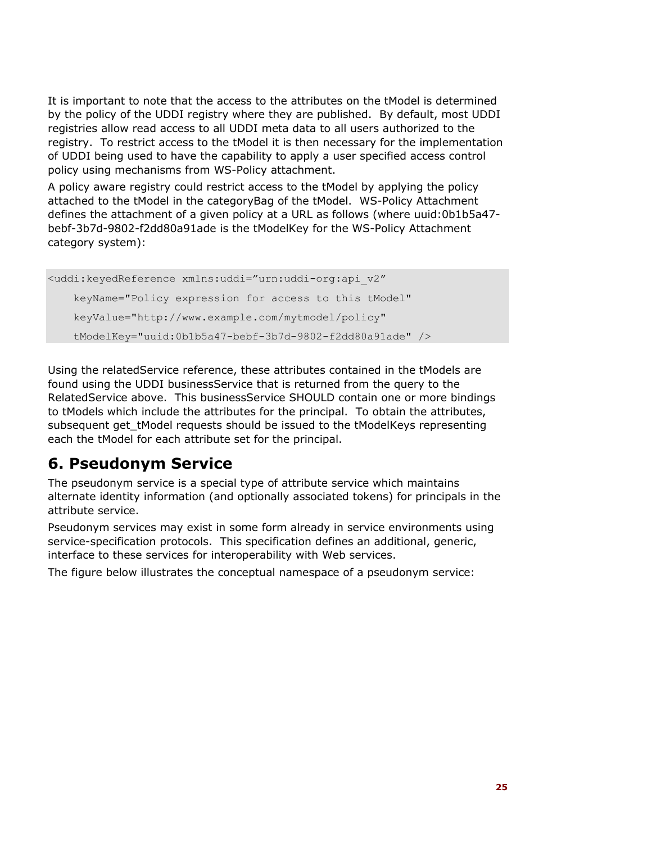It is important to note that the access to the attributes on the tModel is determined by the policy of the UDDI registry where they are published. By default, most UDDI registries allow read access to all UDDI meta data to all users authorized to the registry. To restrict access to the tModel it is then necessary for the implementation of UDDI being used to have the capability to apply a user specified access control policy using mechanisms from WS-Policy attachment.

A policy aware registry could restrict access to the tModel by applying the policy attached to the tModel in the categoryBag of the tModel. WS-Policy Attachment defines the attachment of a given policy at a URL as follows (where uuid:0b1b5a47 bebf-3b7d-9802-f2dd80a91ade is the tModelKey for the WS-Policy Attachment category system):

<uddi:keyedReference xmlns:uddi="urn:uddi-org:api\_v2" keyName="Policy expression for access to this tModel" keyValue="http://www.example.com/mytmodel/policy" tModelKey="uuid:0b1b5a47-bebf-3b7d-9802-f2dd80a91ade" />

Using the relatedService reference, these attributes contained in the tModels are found using the UDDI businessService that is returned from the query to the RelatedService above. This businessService SHOULD contain one or more bindings to tModels which include the attributes for the principal. To obtain the attributes, subsequent get tModel requests should be issued to the tModelKeys representing each the tModel for each attribute set for the principal.

# **6. Pseudonym Service**

The pseudonym service is a special type of attribute service which maintains alternate identity information (and optionally associated tokens) for principals in the attribute service.

Pseudonym services may exist in some form already in service environments using service-specification protocols. This specification defines an additional, generic, interface to these services for interoperability with Web services.

The figure below illustrates the conceptual namespace of a pseudonym service: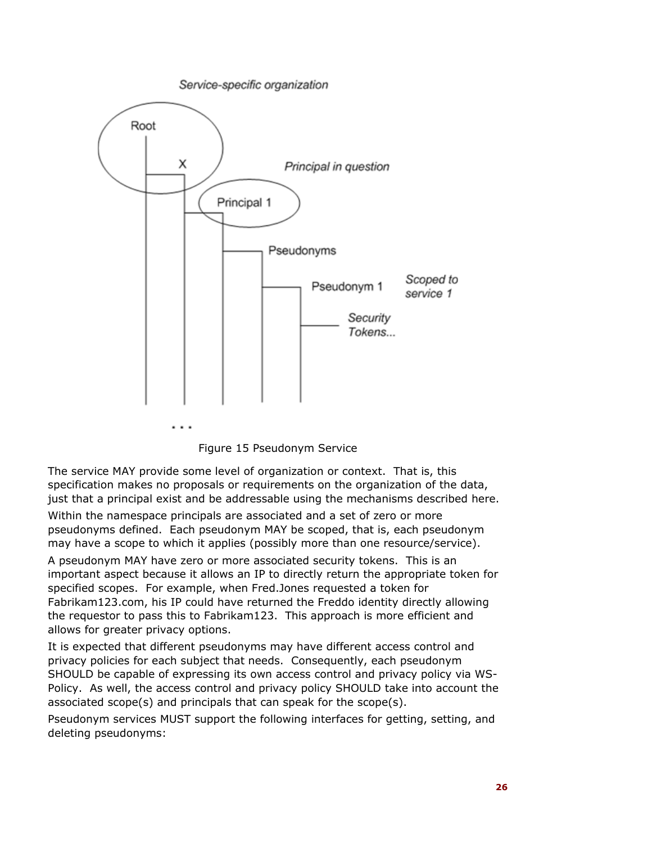

Figure 15 Pseudonym Service

The service MAY provide some level of organization or context. That is, this specification makes no proposals or requirements on the organization of the data, just that a principal exist and be addressable using the mechanisms described here.

Within the namespace principals are associated and a set of zero or more pseudonyms defined. Each pseudonym MAY be scoped, that is, each pseudonym may have a scope to which it applies (possibly more than one resource/service).

A pseudonym MAY have zero or more associated security tokens. This is an important aspect because it allows an IP to directly return the appropriate token for specified scopes. For example, when Fred.Jones requested a token for Fabrikam123.com, his IP could have returned the Freddo identity directly allowing the requestor to pass this to Fabrikam123. This approach is more efficient and allows for greater privacy options.

It is expected that different pseudonyms may have different access control and privacy policies for each subject that needs. Consequently, each pseudonym SHOULD be capable of expressing its own access control and privacy policy via WS-Policy. As well, the access control and privacy policy SHOULD take into account the associated scope(s) and principals that can speak for the scope(s).

Pseudonym services MUST support the following interfaces for getting, setting, and deleting pseudonyms: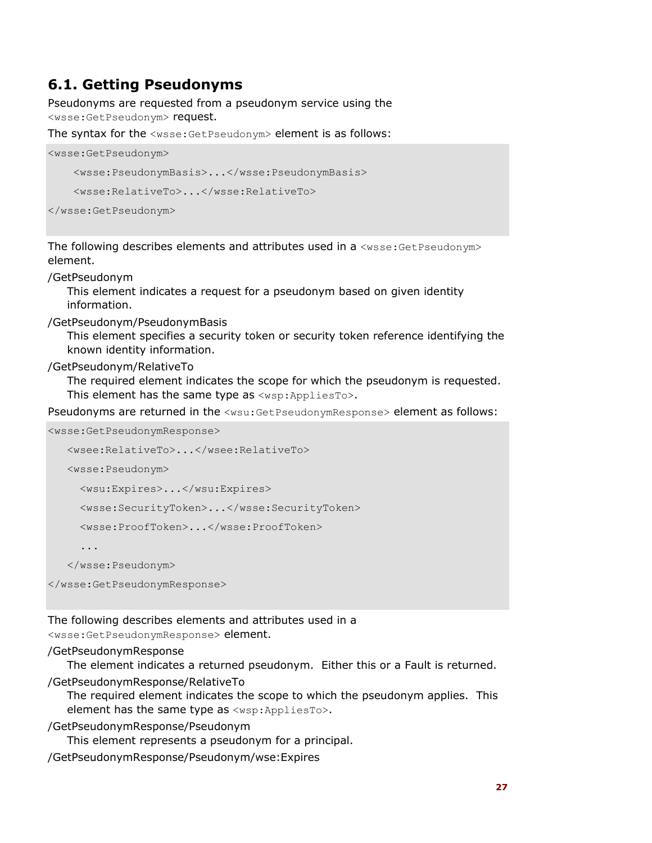### **6.1. Getting Pseudonyms**

Pseudonyms are requested from a pseudonym service using the <wsse:GetPseudonym> request.

The syntax for the  $\leq$ wsse: GetPseudonym> element is as follows:

```
<wsse:GetPseudonym> 
     <wsse:PseudonymBasis>...</wsse:PseudonymBasis> 
     <wsse:RelativeTo>...</wsse:RelativeTo>
```

```
</wsse:GetPseudonym>
```
The following describes elements and attributes used in a <wsse:GetPseudonym> element.

/GetPseudonym

This element indicates a request for a pseudonym based on given identity information.

/GetPseudonym/PseudonymBasis

This element specifies a security token or security token reference identifying the known identity information.

/GetPseudonym/RelativeTo

The required element indicates the scope for which the pseudonym is requested. This element has the same type as <wsp: AppliesTo>.

Pseudonyms are returned in the <wsu:GetPseudonymResponse> element as follows:

<wsse:GetPseudonymResponse>

```
 <wsee:RelativeTo>...</wsee:RelativeTo>
```
<wsse:Pseudonym>

<wsu:Expires>...</wsu:Expires>

<wsse:SecurityToken>...</wsse:SecurityToken>

<wsse:ProofToken>...</wsse:ProofToken>

...

</wsse:Pseudonym>

</wsse:GetPseudonymResponse>

The following describes elements and attributes used in a <wsse:GetPseudonymResponse> element.

#### /GetPseudonymResponse

The element indicates a returned pseudonym. Either this or a Fault is returned.

/GetPseudonymResponse/RelativeTo

The required element indicates the scope to which the pseudonym applies. This element has the same type as <wsp:AppliesTo>.

/GetPseudonymResponse/Pseudonym

This element represents a pseudonym for a principal.

/GetPseudonymResponse/Pseudonym/wse:Expires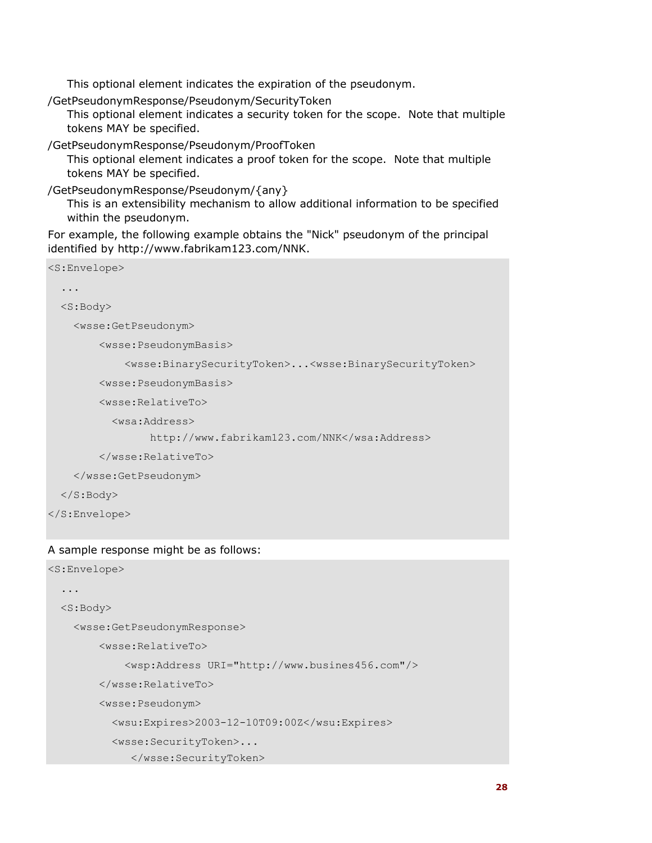This optional element indicates the expiration of the pseudonym.

/GetPseudonymResponse/Pseudonym/SecurityToken

This optional element indicates a security token for the scope. Note that multiple tokens MAY be specified.

/GetPseudonymResponse/Pseudonym/ProofToken

This optional element indicates a proof token for the scope. Note that multiple tokens MAY be specified.

/GetPseudonymResponse/Pseudonym/{any}

This is an extensibility mechanism to allow additional information to be specified within the pseudonym.

For example, the following example obtains the "Nick" pseudonym of the principal identified by http://www.fabrikam123.com/NNK.

```
<S:Envelope> 
   ... 
   <S:Body> 
     <wsse:GetPseudonym> 
         <wsse:PseudonymBasis> 
              <wsse:BinarySecurityToken>...<wsse:BinarySecurityToken> 
         <wsse:PseudonymBasis> 
         <wsse:RelativeTo> 
            <wsa:Address> 
                  http://www.fabrikam123.com/NNK</wsa:Address> 
         </wsse:RelativeTo> 
     </wsse:GetPseudonym> 
   </S:Body> 
</S:Envelope>
```
### A sample response might be as follows:

```
<S:Envelope> 
   ... 
   <S:Body> 
     <wsse:GetPseudonymResponse> 
         <wsse:RelativeTo> 
              <wsp:Address URI="http://www.busines456.com"/> 
         </wsse:RelativeTo> 
         <wsse:Pseudonym> 
            <wsu:Expires>2003-12-10T09:00Z</wsu:Expires> 
            <wsse:SecurityToken>... 
               </wsse:SecurityToken>
```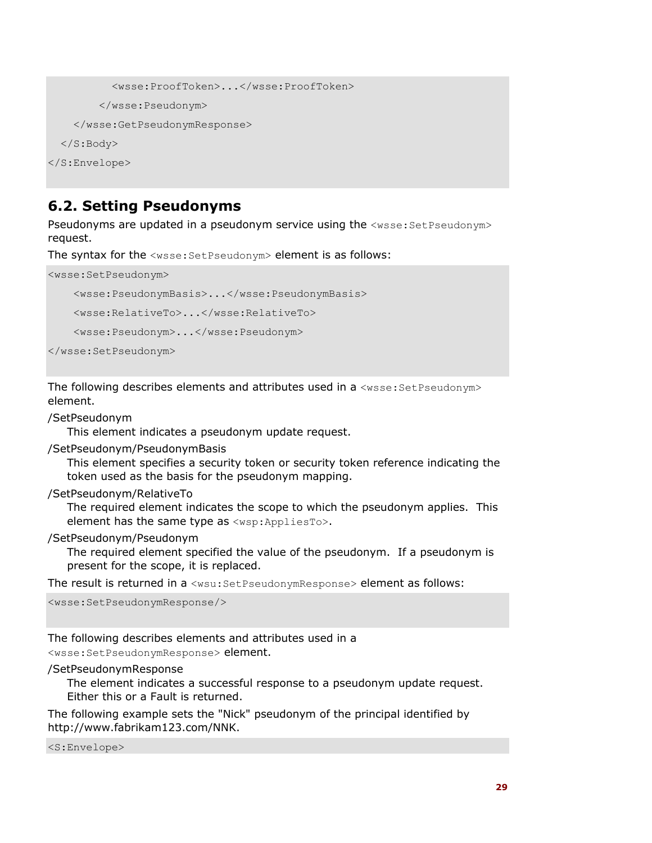```
 <wsse:ProofToken>...</wsse:ProofToken> 
         </wsse:Pseudonym> 
     </wsse:GetPseudonymResponse> 
   </S:Body> 
</S:Envelope>
```
### **6.2. Setting Pseudonyms**

Pseudonyms are updated in a pseudonym service using the <wsse: SetPseudonym> request.

The syntax for the <wsse:SetPseudonym> element is as follows:

<wsse:SetPseudonym>

```
 <wsse:PseudonymBasis>...</wsse:PseudonymBasis>
```
<wsse:RelativeTo>...</wsse:RelativeTo>

<wsse:Pseudonym>...</wsse:Pseudonym>

```
</wsse:SetPseudonym>
```
The following describes elements and attributes used in a  $\langle$ wsse: SetPseudonym> element.

/SetPseudonym

This element indicates a pseudonym update request.

/SetPseudonym/PseudonymBasis

This element specifies a security token or security token reference indicating the token used as the basis for the pseudonym mapping.

/SetPseudonym/RelativeTo

The required element indicates the scope to which the pseudonym applies. This element has the same type as <wsp: AppliesTo>.

/SetPseudonym/Pseudonym

The required element specified the value of the pseudonym. If a pseudonym is present for the scope, it is replaced.

The result is returned in a <wsu: SetPseudonymResponse> element as follows:

<wsse:SetPseudonymResponse/>

The following describes elements and attributes used in a

<wsse:SetPseudonymResponse> element.

/SetPseudonymResponse

The element indicates a successful response to a pseudonym update request. Either this or a Fault is returned.

The following example sets the "Nick" pseudonym of the principal identified by http://www.fabrikam123.com/NNK.

<S:Envelope>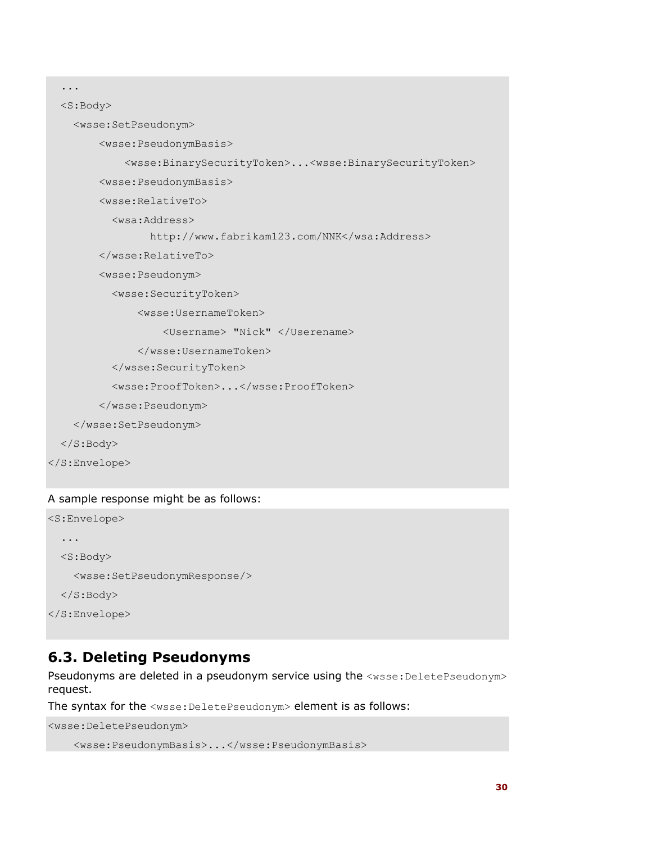```
 ... 
 <S:Body> 
   <wsse:SetPseudonym> 
       <wsse:PseudonymBasis> 
            <wsse:BinarySecurityToken>...<wsse:BinarySecurityToken> 
       <wsse:PseudonymBasis> 
       <wsse:RelativeTo> 
         <wsa:Address> 
                http://www.fabrikam123.com/NNK</wsa:Address> 
       </wsse:RelativeTo> 
       <wsse:Pseudonym> 
         <wsse:SecurityToken> 
              <wsse:UsernameToken> 
                   <Username> "Nick" </Userename> 
              </wsse:UsernameToken> 
         </wsse:SecurityToken> 
         <wsse:ProofToken>...</wsse:ProofToken> 
       </wsse:Pseudonym> 
   </wsse:SetPseudonym> 
 </S:Body>
```

```
</S:Envelope>
```
#### A sample response might be as follows:

```
<S:Envelope> 
   ... 
   <S:Body> 
     <wsse:SetPseudonymResponse/> 
   </S:Body> 
</S:Envelope>
```
### **6.3. Deleting Pseudonyms**

Pseudonyms are deleted in a pseudonym service using the <wsse: DeletePseudonym> request.

The syntax for the <wsse: DeletePseudonym> element is as follows:

```
<wsse:DeletePseudonym> 
     <wsse:PseudonymBasis>...</wsse:PseudonymBasis>
```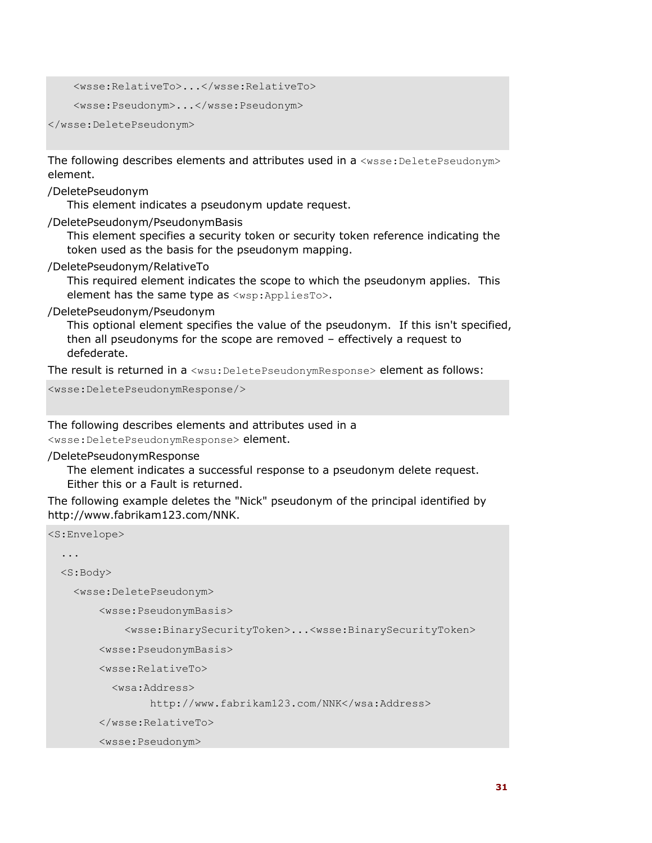```
 <wsse:RelativeTo>...</wsse:RelativeTo> 
 <wsse:Pseudonym>...</wsse:Pseudonym>
```
</wsse:DeletePseudonym>

The following describes elements and attributes used in a  $\leq$ wsse: DeletePseudonym> element.

/DeletePseudonym

This element indicates a pseudonym update request.

/DeletePseudonym/PseudonymBasis

This element specifies a security token or security token reference indicating the token used as the basis for the pseudonym mapping.

/DeletePseudonym/RelativeTo

This required element indicates the scope to which the pseudonym applies. This element has the same type as <wsp:AppliesTo>.

/DeletePseudonym/Pseudonym

This optional element specifies the value of the pseudonym. If this isn't specified, then all pseudonyms for the scope are removed – effectively a request to defederate.

The result is returned in a <wsu: DeletePseudonymResponse> element as follows:

<wsse:DeletePseudonymResponse/>

The following describes elements and attributes used in a <wsse:DeletePseudonymResponse> element.

/DeletePseudonymResponse

The element indicates a successful response to a pseudonym delete request. Either this or a Fault is returned.

The following example deletes the "Nick" pseudonym of the principal identified by http://www.fabrikam123.com/NNK.

```
<S:Envelope> 
   ... 
   <S:Body> 
     <wsse:DeletePseudonym> 
         <wsse:PseudonymBasis> 
              <wsse:BinarySecurityToken>...<wsse:BinarySecurityToken> 
         <wsse:PseudonymBasis> 
         <wsse:RelativeTo> 
            <wsa:Address> 
                  http://www.fabrikam123.com/NNK</wsa:Address> 
         </wsse:RelativeTo> 
         <wsse:Pseudonym>
```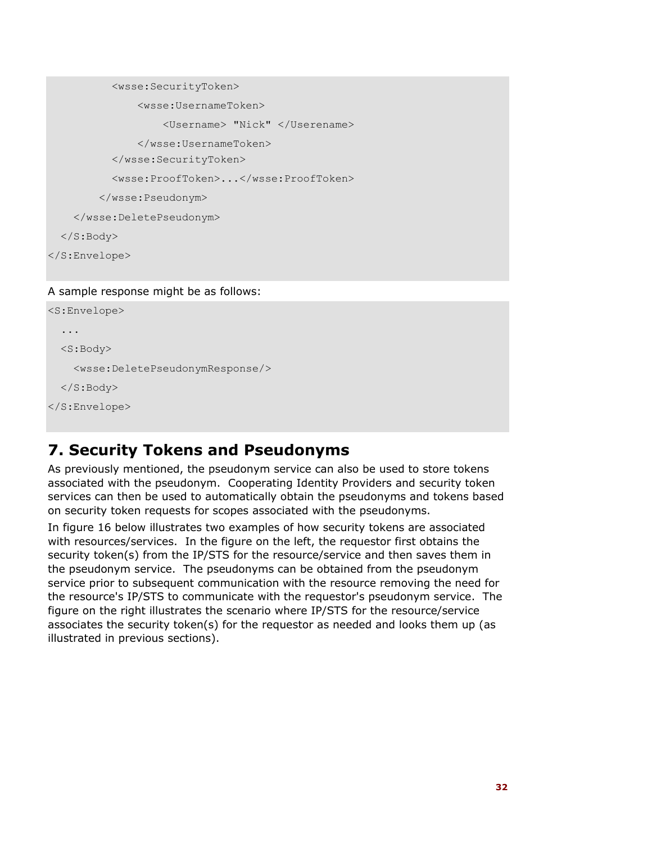```
 <wsse:SecurityToken> 
                <wsse:UsernameToken> 
                     <Username> "Nick" </Userename> 
                </wsse:UsernameToken> 
            </wsse:SecurityToken> 
            <wsse:ProofToken>...</wsse:ProofToken> 
         </wsse:Pseudonym> 
     </wsse:DeletePseudonym> 
   </S:Body> 
</S:Envelope>
```
#### A sample response might be as follows:

```
<S:Envelope> 
   ... 
   <S:Body> 
     <wsse:DeletePseudonymResponse/> 
   </S:Body> 
</S:Envelope>
```
### **7. Security Tokens and Pseudonyms**

As previously mentioned, the pseudonym service can also be used to store tokens associated with the pseudonym. Cooperating Identity Providers and security token services can then be used to automatically obtain the pseudonyms and tokens based on security token requests for scopes associated with the pseudonyms.

In figure 16 below illustrates two examples of how security tokens are associated with resources/services. In the figure on the left, the requestor first obtains the security token(s) from the IP/STS for the resource/service and then saves them in the pseudonym service. The pseudonyms can be obtained from the pseudonym service prior to subsequent communication with the resource removing the need for the resource's IP/STS to communicate with the requestor's pseudonym service. The figure on the right illustrates the scenario where IP/STS for the resource/service associates the security token(s) for the requestor as needed and looks them up (as illustrated in previous sections).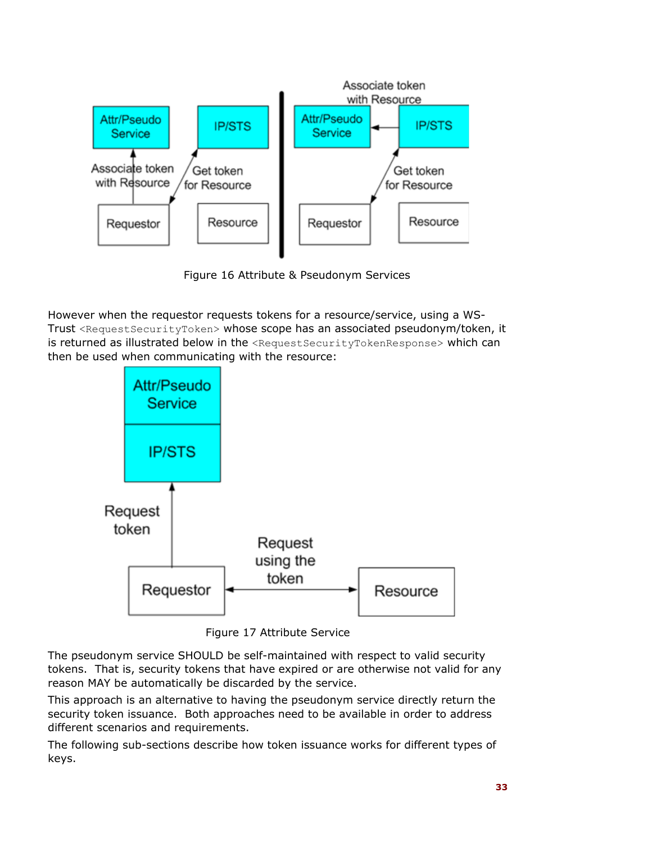

Figure 16 Attribute & Pseudonym Services

However when the requestor requests tokens for a resource/service, using a WS-Trust <RequestSecurityToken> whose scope has an associated pseudonym/token, it is returned as illustrated below in the <RequestSecurityTokenResponse> which can then be used when communicating with the resource:



Figure 17 Attribute Service

The pseudonym service SHOULD be self-maintained with respect to valid security tokens. That is, security tokens that have expired or are otherwise not valid for any reason MAY be automatically be discarded by the service.

This approach is an alternative to having the pseudonym service directly return the security token issuance. Both approaches need to be available in order to address different scenarios and requirements.

The following sub-sections describe how token issuance works for different types of keys.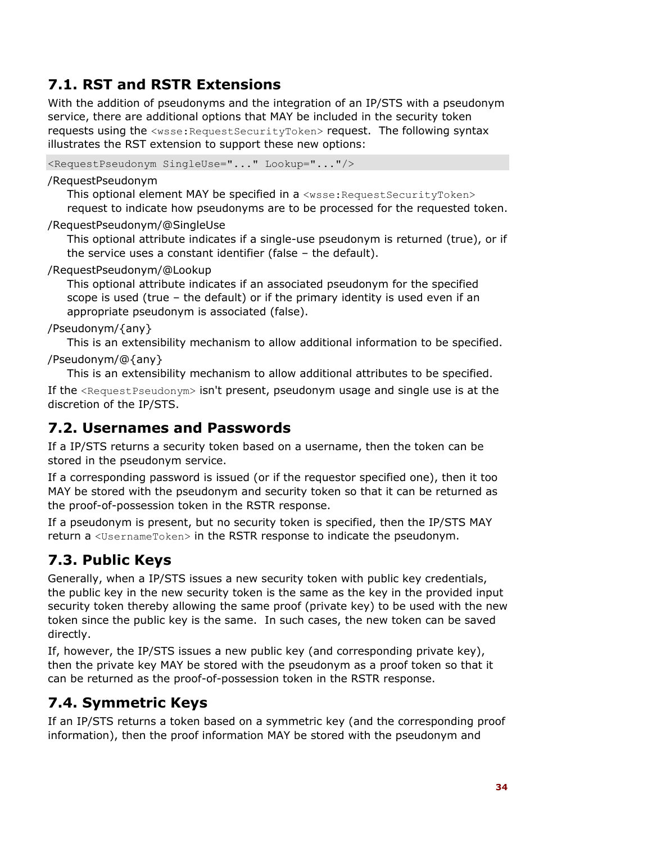# **7.1. RST and RSTR Extensions**

With the addition of pseudonyms and the integration of an IP/STS with a pseudonym service, there are additional options that MAY be included in the security token requests using the <wsse: Request SecurityToken> request. The following syntax illustrates the RST extension to support these new options:

<RequestPseudonym SingleUse="..." Lookup="..."/>

#### /RequestPseudonym

This optional element MAY be specified in a <wsse: Request SecurityToken> request to indicate how pseudonyms are to be processed for the requested token.

#### /RequestPseudonym/@SingleUse

This optional attribute indicates if a single-use pseudonym is returned (true), or if the service uses a constant identifier (false – the default).

#### /RequestPseudonym/@Lookup

This optional attribute indicates if an associated pseudonym for the specified scope is used (true – the default) or if the primary identity is used even if an appropriate pseudonym is associated (false).

#### /Pseudonym/{any}

This is an extensibility mechanism to allow additional information to be specified. /Pseudonym/@{any}

This is an extensibility mechanism to allow additional attributes to be specified.

If the  $\leq$ RequestPseudonym> isn't present, pseudonym usage and single use is at the discretion of the IP/STS.

### **7.2. Usernames and Passwords**

If a IP/STS returns a security token based on a username, then the token can be stored in the pseudonym service.

If a corresponding password is issued (or if the requestor specified one), then it too MAY be stored with the pseudonym and security token so that it can be returned as the proof-of-possession token in the RSTR response.

If a pseudonym is present, but no security token is specified, then the IP/STS MAY return a <UsernameToken> in the RSTR response to indicate the pseudonym.

# **7.3. Public Keys**

Generally, when a IP/STS issues a new security token with public key credentials, the public key in the new security token is the same as the key in the provided input security token thereby allowing the same proof (private key) to be used with the new token since the public key is the same. In such cases, the new token can be saved directly.

If, however, the IP/STS issues a new public key (and corresponding private key), then the private key MAY be stored with the pseudonym as a proof token so that it can be returned as the proof-of-possession token in the RSTR response.

### **7.4. Symmetric Keys**

If an IP/STS returns a token based on a symmetric key (and the corresponding proof information), then the proof information MAY be stored with the pseudonym and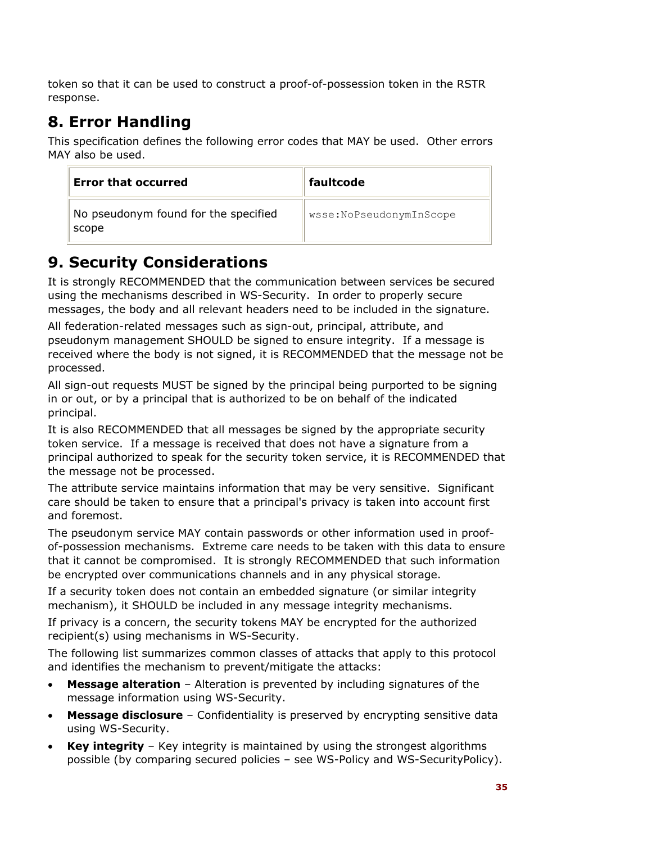token so that it can be used to construct a proof-of-possession token in the RSTR response.

# **8. Error Handling**

This specification defines the following error codes that MAY be used. Other errors MAY also be used.

| <b>Error that occurred</b>                    | faultcode               |
|-----------------------------------------------|-------------------------|
| No pseudonym found for the specified<br>scope | wsse:NoPseudonymInScope |

# **9. Security Considerations**

It is strongly RECOMMENDED that the communication between services be secured using the mechanisms described in WS-Security. In order to properly secure messages, the body and all relevant headers need to be included in the signature.

All federation-related messages such as sign-out, principal, attribute, and pseudonym management SHOULD be signed to ensure integrity. If a message is received where the body is not signed, it is RECOMMENDED that the message not be processed.

All sign-out requests MUST be signed by the principal being purported to be signing in or out, or by a principal that is authorized to be on behalf of the indicated principal.

It is also RECOMMENDED that all messages be signed by the appropriate security token service. If a message is received that does not have a signature from a principal authorized to speak for the security token service, it is RECOMMENDED that the message not be processed.

The attribute service maintains information that may be very sensitive. Significant care should be taken to ensure that a principal's privacy is taken into account first and foremost.

The pseudonym service MAY contain passwords or other information used in proofof-possession mechanisms. Extreme care needs to be taken with this data to ensure that it cannot be compromised. It is strongly RECOMMENDED that such information be encrypted over communications channels and in any physical storage.

If a security token does not contain an embedded signature (or similar integrity mechanism), it SHOULD be included in any message integrity mechanisms.

If privacy is a concern, the security tokens MAY be encrypted for the authorized recipient(s) using mechanisms in WS-Security.

The following list summarizes common classes of attacks that apply to this protocol and identifies the mechanism to prevent/mitigate the attacks:

- **Message alteration**  Alteration is prevented by including signatures of the message information using WS-Security.
- **Message disclosure**  Confidentiality is preserved by encrypting sensitive data using WS-Security.
- **Key integrity**  Key integrity is maintained by using the strongest algorithms possible (by comparing secured policies – see WS-Policy and WS-SecurityPolicy).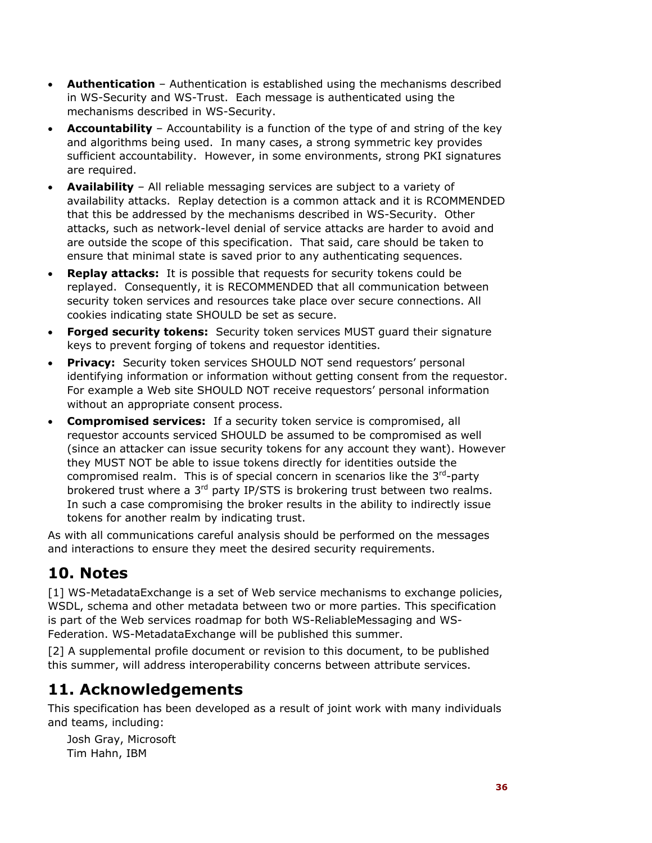- **Authentication** Authentication is established using the mechanisms described in WS-Security and WS-Trust. Each message is authenticated using the mechanisms described in WS-Security.
- **Accountability** Accountability is a function of the type of and string of the key and algorithms being used. In many cases, a strong symmetric key provides sufficient accountability. However, in some environments, strong PKI signatures are required.
- **Availability** All reliable messaging services are subject to a variety of availability attacks. Replay detection is a common attack and it is RCOMMENDED that this be addressed by the mechanisms described in WS-Security. Other attacks, such as network-level denial of service attacks are harder to avoid and are outside the scope of this specification. That said, care should be taken to ensure that minimal state is saved prior to any authenticating sequences.
- **Replay attacks:** It is possible that requests for security tokens could be replayed. Consequently, it is RECOMMENDED that all communication between security token services and resources take place over secure connections. All cookies indicating state SHOULD be set as secure.
- **Forged security tokens:** Security token services MUST guard their signature keys to prevent forging of tokens and requestor identities.
- **Privacy:** Security token services SHOULD NOT send requestors' personal identifying information or information without getting consent from the requestor. For example a Web site SHOULD NOT receive requestors' personal information without an appropriate consent process.
- **Compromised services:** If a security token service is compromised, all requestor accounts serviced SHOULD be assumed to be compromised as well (since an attacker can issue security tokens for any account they want). However they MUST NOT be able to issue tokens directly for identities outside the compromised realm. This is of special concern in scenarios like the  $3<sup>rd</sup>$ -party brokered trust where a  $3<sup>rd</sup>$  party IP/STS is brokering trust between two realms. In such a case compromising the broker results in the ability to indirectly issue tokens for another realm by indicating trust.

As with all communications careful analysis should be performed on the messages and interactions to ensure they meet the desired security requirements.

# **10. Notes**

[1] WS-MetadataExchange is a set of Web service mechanisms to exchange policies, WSDL, schema and other metadata between two or more parties. This specification is part of the Web services roadmap for both WS-ReliableMessaging and WS-Federation. WS-MetadataExchange will be published this summer.

[2] A supplemental profile document or revision to this document, to be published this summer, will address interoperability concerns between attribute services.

# **11. Acknowledgements**

This specification has been developed as a result of joint work with many individuals and teams, including:

Josh Gray, Microsoft Tim Hahn, IBM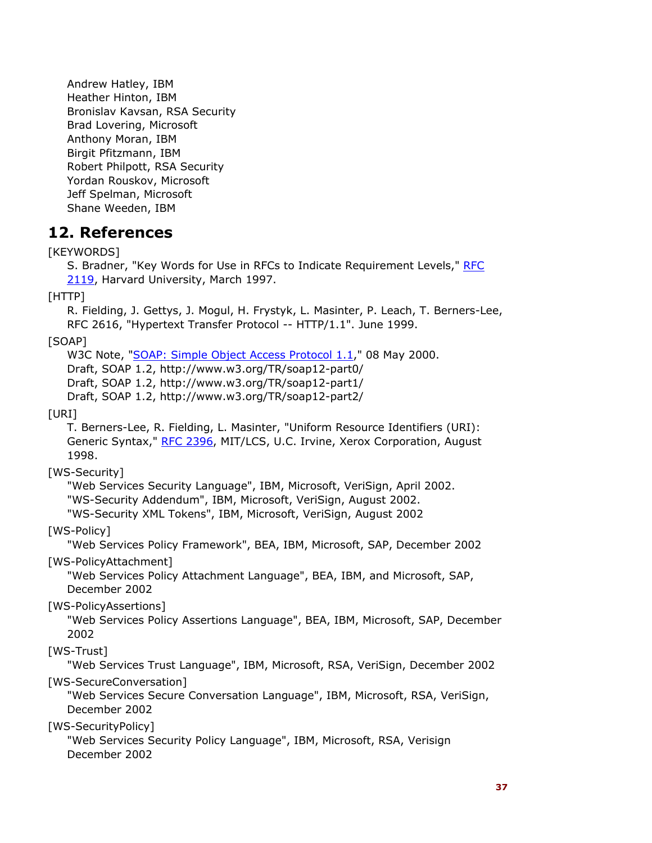Andrew Hatley, IBM Heather Hinton, IBM Bronislav Kavsan, RSA Security Brad Lovering, Microsoft Anthony Moran, IBM Birgit Pfitzmann, IBM Robert Philpott, RSA Security Yordan Rouskov, Microsoft Jeff Spelman, Microsoft Shane Weeden, IBM

### **12. References**

# [KEYWORDS]

S. Bradner, "Key Words for Use in RFCs to Indicate Requirement Levels," RFC 2119, Harvard University, March 1997.

#### [HTTP]

R. Fielding, J. Gettys, J. Mogul, H. Frystyk, L. Masinter, P. Leach, T. Berners-Lee, RFC 2616, "Hypertext Transfer Protocol -- HTTP/1.1". June 1999.

### [SOAP]

W3C Note, "SOAP: Simple Object Access Protocol 1.1," 08 May 2000. Draft, SOAP 1.2, http://www.w3.org/TR/soap12-part0/ Draft, SOAP 1.2, http://www.w3.org/TR/soap12-part1/ Draft, SOAP 1.2, http://www.w3.org/TR/soap12-part2/

#### [URI]

T. Berners-Lee, R. Fielding, L. Masinter, "Uniform Resource Identifiers (URI): Generic Syntax," RFC 2396, MIT/LCS, U.C. Irvine, Xerox Corporation, August 1998.

### [WS-Security]

"Web Services Security Language", IBM, Microsoft, VeriSign, April 2002. "WS-Security Addendum", IBM, Microsoft, VeriSign, August 2002. "WS-Security XML Tokens", IBM, Microsoft, VeriSign, August 2002

### [WS-Policy]

"Web Services Policy Framework", BEA, IBM, Microsoft, SAP, December 2002

#### [WS-PolicyAttachment]

"Web Services Policy Attachment Language", BEA, IBM, and Microsoft, SAP, December 2002

### [WS-PolicyAssertions]

"Web Services Policy Assertions Language", BEA, IBM, Microsoft, SAP, December 2002

### [WS-Trust]

"Web Services Trust Language", IBM, Microsoft, RSA, VeriSign, December 2002 [WS-SecureConversation]

"Web Services Secure Conversation Language", IBM, Microsoft, RSA, VeriSign, December 2002

#### [WS-SecurityPolicy]

"Web Services Security Policy Language", IBM, Microsoft, RSA, Verisign December 2002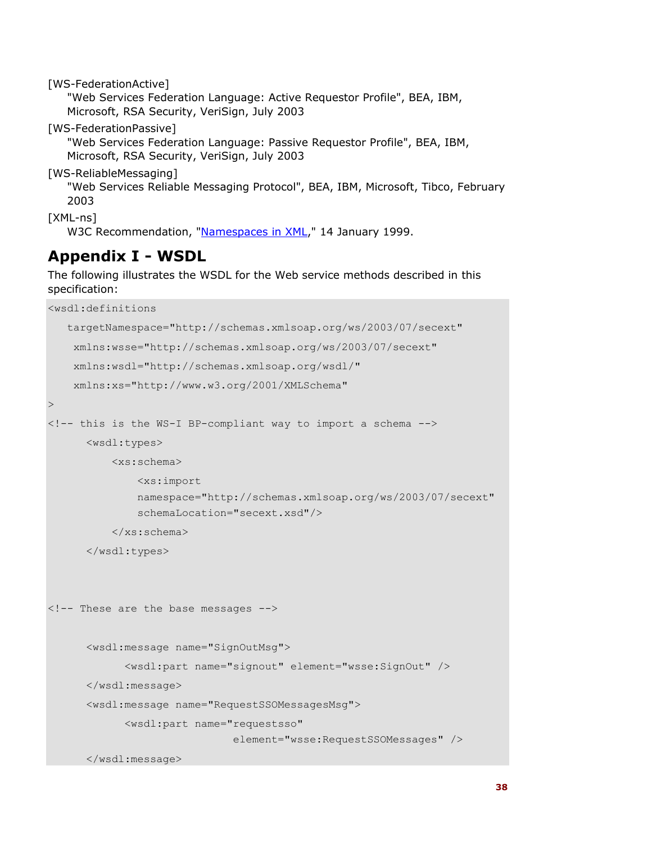[WS-FederationActive] "Web Services Federation Language: Active Requestor Profile", BEA, IBM, Microsoft, RSA Security, VeriSign, July 2003 [WS-FederationPassive] "Web Services Federation Language: Passive Requestor Profile", BEA, IBM, Microsoft, RSA Security, VeriSign, July 2003 [WS-ReliableMessaging] "Web Services Reliable Messaging Protocol", BEA, IBM, Microsoft, Tibco, February 2003

[XML-ns]

W3C Recommendation, "Namespaces in XML," 14 January 1999.

# **Appendix I - WSDL**

The following illustrates the WSDL for the Web service methods described in this specification:

```
<wsdl:definitions 
    targetNamespace="http://schemas.xmlsoap.org/ws/2003/07/secext" 
     xmlns:wsse="http://schemas.xmlsoap.org/ws/2003/07/secext" 
     xmlns:wsdl="http://schemas.xmlsoap.org/wsdl/" 
     xmlns:xs="http://www.w3.org/2001/XMLSchema" 
><!-- this is the WS-I BP-compliant way to import a schema --> 
       <wsdl:types> 
           <xs:schema> 
               <xs:import 
               namespace="http://schemas.xmlsoap.org/ws/2003/07/secext" 
               schemaLocation="secext.xsd"/> 
           </xs:schema> 
       </wsdl:types> 
<!-- These are the base messages --> 
       <wsdl:message name="SignOutMsg"> 
             <wsdl:part name="signout" element="wsse:SignOut" /> 
       </wsdl:message> 
       <wsdl:message name="RequestSSOMessagesMsg"> 
             <wsdl:part name="requestsso" 
                                element="wsse:RequestSSOMessages" />
```
</wsdl:message>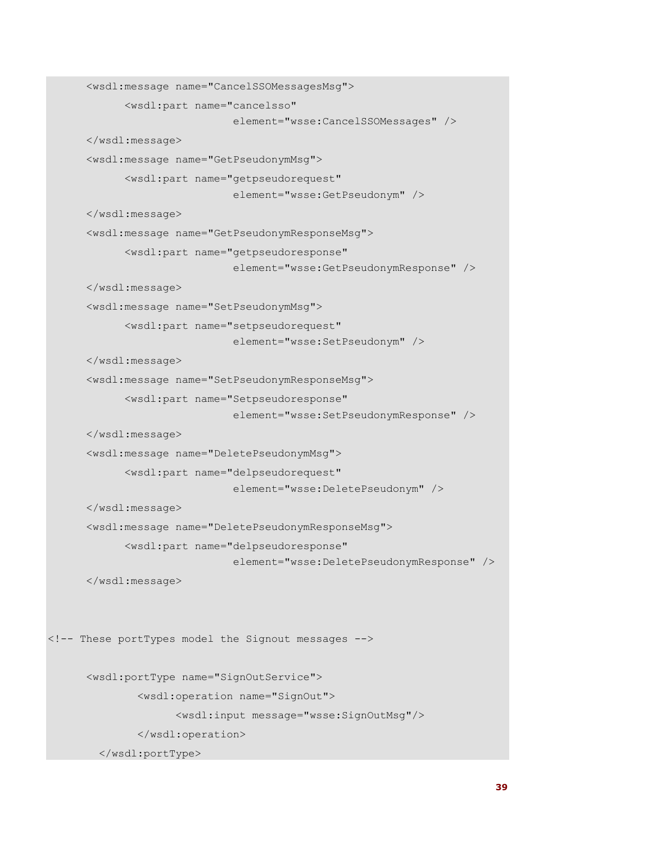```
 <wsdl:message name="CancelSSOMessagesMsg"> 
             <wsdl:part name="cancelsso" 
                                element="wsse:CancelSSOMessages" /> 
       </wsdl:message> 
       <wsdl:message name="GetPseudonymMsg"> 
             <wsdl:part name="getpseudorequest" 
                               element="wsse:GetPseudonym" /> 
       </wsdl:message> 
       <wsdl:message name="GetPseudonymResponseMsg"> 
             <wsdl:part name="getpseudoresponse" 
                                element="wsse:GetPseudonymResponse" /> 
       </wsdl:message> 
       <wsdl:message name="SetPseudonymMsg"> 
             <wsdl:part name="setpseudorequest" 
                                element="wsse:SetPseudonym" /> 
       </wsdl:message> 
       <wsdl:message name="SetPseudonymResponseMsg"> 
             <wsdl:part name="Setpseudoresponse" 
                                element="wsse:SetPseudonymResponse" /> 
       </wsdl:message> 
       <wsdl:message name="DeletePseudonymMsg"> 
             <wsdl:part name="delpseudorequest" 
                                element="wsse:DeletePseudonym" /> 
       </wsdl:message> 
       <wsdl:message name="DeletePseudonymResponseMsg"> 
             <wsdl:part name="delpseudoresponse" 
                                element="wsse:DeletePseudonymResponse" /> 
       </wsdl:message> 
<!-- These portTypes model the Signout messages --> 
       <wsdl:portType name="SignOutService"> 
                <wsdl:operation name="SignOut"> 
                      <wsdl:input message="wsse:SignOutMsg"/> 
                </wsdl:operation> 
         </wsdl:portType>
```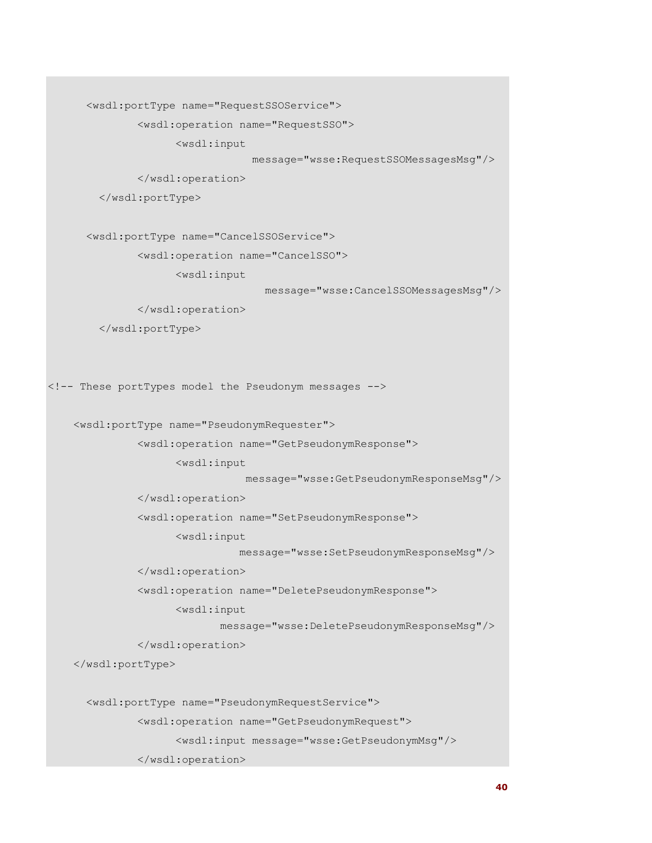<wsdl:portType name="RequestSSOService">

<wsdl:operation name="RequestSSO">

<wsdl:input

message="wsse:RequestSSOMessagesMsg"/>

</wsdl:operation>

</wsdl:portType>

<wsdl:portType name="CancelSSOService">

<wsdl:operation name="CancelSSO">

<wsdl:input

message="wsse:CancelSSOMessagesMsg"/>

</wsdl:operation>

</wsdl:portType>

<!-- These portTypes model the Pseudonym messages -->

<wsdl:portType name="PseudonymRequester">

<wsdl:operation name="GetPseudonymResponse">

<wsdl:input

message="wsse:GetPseudonymResponseMsg"/>

</wsdl:operation>

<wsdl:operation name="SetPseudonymResponse">

<wsdl:input

message="wsse:SetPseudonymResponseMsg"/>

</wsdl:operation>

<wsdl:operation name="DeletePseudonymResponse">

<wsdl:input

message="wsse:DeletePseudonymResponseMsg"/>

</wsdl:operation>

</wsdl:portType>

<wsdl:portType name="PseudonymRequestService">

<wsdl:operation name="GetPseudonymRequest">

<wsdl:input message="wsse:GetPseudonymMsg"/>

</wsdl:operation>